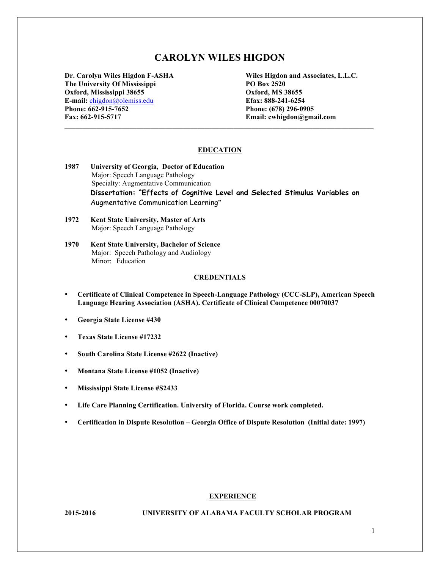# **CAROLYN WILES HIGDON**

**The University Of Mississippi PO Box 2520 Oxford, Mississippi 38655 Oxford, MS 38655 E-mail:** chigdon@olemiss.edu **Efax: 888-241-6254 Phone: 662-915-7652 Phone: (678) 296-0905 Fax: 662-915-5717 Email: cwhigdon@gmail.com**

**Dr. Carolyn Wiles Higdon F-ASHA Wiles Higdon and Associates, L.L.C.**

#### **EDUCATION**

- **1987 University of Georgia, Doctor of Education** Major: Speech Language Pathology Specialty: Augmentative Communication **Dissertation: "Effects of Cognitive Level and Selected Stimulus Variables on**  Augmentative Communication Learning"
- **1972 Kent State University, Master of Arts** Major: Speech Language Pathology
- **1970 Kent State University, Bachelor of Science** Major: Speech Pathology and Audiology Minor: Education

# **CREDENTIALS**

- **Certificate of Clinical Competence in Speech-Language Pathology (CCC-SLP), American Speech Language Hearing Association (ASHA). Certificate of Clinical Competence 00070037**
- **Georgia State License #430**
- **Texas State License #17232**
- **South Carolina State License #2622 (Inactive)**
- **Montana State License #1052 (Inactive)**
- **Mississippi State License #S2433**
- **Life Care Planning Certification. University of Florida. Course work completed.**
- **Certification in Dispute Resolution – Georgia Office of Dispute Resolution (Initial date: 1997)**

#### **EXPERIENCE**

#### **2015-2016 UNIVERSITY OF ALABAMA FACULTY SCHOLAR PROGRAM**

1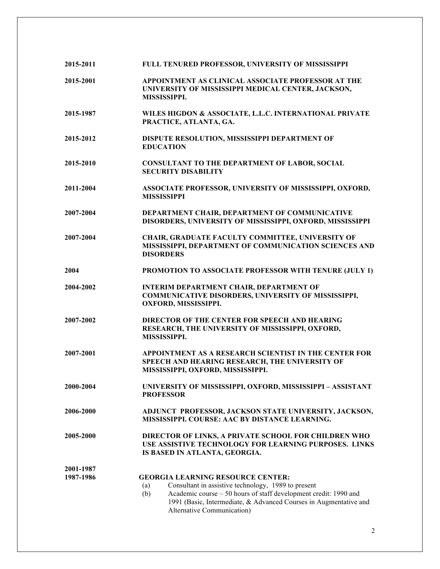| 2015-2011              | FULL TENURED PROFESSOR, UNIVERSITY OF MISSISSIPPI                                                                                                                                                                                                                                    |  |
|------------------------|--------------------------------------------------------------------------------------------------------------------------------------------------------------------------------------------------------------------------------------------------------------------------------------|--|
| 2015-2001              | APPOINTMENT AS CLINICAL ASSOCIATE PROFESSOR AT THE<br>UNIVERSITY OF MISSISSIPPI MEDICAL CENTER, JACKSON,<br>MISSISSIPPI.                                                                                                                                                             |  |
| 2015-1987              | WILES HIGDON & ASSOCIATE, L.L.C. INTERNATIONAL PRIVATE<br>PRACTICE, ATLANTA, GA.                                                                                                                                                                                                     |  |
| 2015-2012              | DISPUTE RESOLUTION, MISSISSIPPI DEPARTMENT OF<br><b>EDUCATION</b>                                                                                                                                                                                                                    |  |
| 2015-2010              | <b>CONSULTANT TO THE DEPARTMENT OF LABOR, SOCIAL</b><br><b>SECURITY DISABILITY</b>                                                                                                                                                                                                   |  |
| 2011-2004              | ASSOCIATE PROFESSOR, UNIVERSITY OF MISSISSIPPI, OXFORD,<br><b>MISSISSIPPI</b>                                                                                                                                                                                                        |  |
| 2007-2004              | DEPARTMENT CHAIR, DEPARTMENT OF COMMUNICATIVE<br>DISORDERS, UNIVERSITY OF MISSISSIPPI, OXFORD, MISSISSIPPI                                                                                                                                                                           |  |
| 2007-2004              | CHAIR, GRADUATE FACULTY COMMITTEE, UNIVERSITY OF<br>MISSISSIPPI, DEPARTMENT OF COMMUNICATION SCIENCES AND<br><b>DISORDERS</b>                                                                                                                                                        |  |
| 2004                   | PROMOTION TO ASSOCIATE PROFESSOR WITH TENURE (JULY 1)                                                                                                                                                                                                                                |  |
| 2004-2002              | <b>INTERIM DEPARTMENT CHAIR, DEPARTMENT OF</b><br>COMMUNICATIVE DISORDERS, UNIVERSITY OF MISSISSIPPI,<br>OXFORD, MISSISSIPPI.                                                                                                                                                        |  |
| 2007-2002              | DIRECTOR OF THE CENTER FOR SPEECH AND HEARING<br>RESEARCH, THE UNIVERSITY OF MISSISSIPPI, OXFORD,<br>MISSISSIPPI.                                                                                                                                                                    |  |
| 2007-2001              | APPOINTMENT AS A RESEARCH SCIENTIST IN THE CENTER FOR<br>SPEECH AND HEARING RESEARCH, THE UNIVERSITY OF<br>MISSISSIPPI, OXFORD, MISSISSIPPI.                                                                                                                                         |  |
| 2000-2004              | UNIVERSITY OF MISSISSIPPI, OXFORD, MISSISSIPPI - ASSISTANT<br><b>PROFESSOR</b>                                                                                                                                                                                                       |  |
| 2006-2000              | ADJUNCT PROFESSOR, JACKSON STATE UNIVERSITY, JACKSON,<br>MISSISSIPPI. COURSE: AAC BY DISTANCE LEARNING.                                                                                                                                                                              |  |
| 2005-2000              | DIRECTOR OF LINKS, A PRIVATE SCHOOL FOR CHILDREN WHO<br>USE ASSISTIVE TECHNOLOGY FOR LEARNING PURPOSES. LINKS<br>IS BASED IN ATLANTA, GEORGIA.                                                                                                                                       |  |
| 2001-1987<br>1987-1986 | <b>GEORGIA LEARNING RESOURCE CENTER:</b><br>Consultant in assistive technology, 1989 to present<br>(a)<br>Academic course - 50 hours of staff development credit: 1990 and<br>(b)<br>1991 (Basic, Intermediate, & Advanced Courses in Augmentative and<br>Alternative Communication) |  |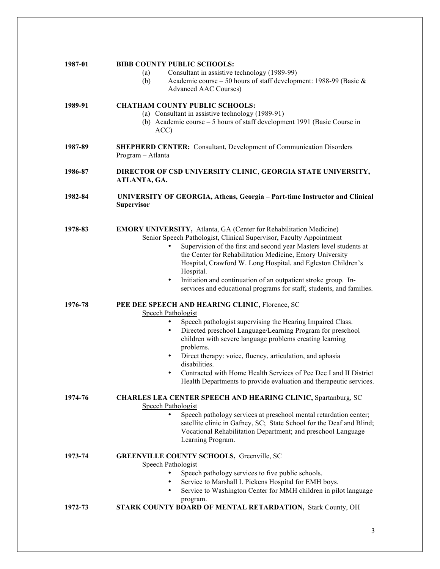| 1987-01 | <b>BIBB COUNTY PUBLIC SCHOOLS:</b><br>Consultant in assistive technology (1989-99)<br>(a)<br>Academic course – 50 hours of staff development: 1988-99 (Basic $\&$<br>(b)<br><b>Advanced AAC Courses)</b>                                                                                                                                                                                                                                                                                                                                |
|---------|-----------------------------------------------------------------------------------------------------------------------------------------------------------------------------------------------------------------------------------------------------------------------------------------------------------------------------------------------------------------------------------------------------------------------------------------------------------------------------------------------------------------------------------------|
| 1989-91 | <b>CHATHAM COUNTY PUBLIC SCHOOLS:</b><br>(a) Consultant in assistive technology (1989-91)<br>(b) Academic course – 5 hours of staff development 1991 (Basic Course in<br>ACC)                                                                                                                                                                                                                                                                                                                                                           |
| 1987-89 | <b>SHEPHERD CENTER:</b> Consultant, Development of Communication Disorders<br>Program - Atlanta                                                                                                                                                                                                                                                                                                                                                                                                                                         |
| 1986-87 | DIRECTOR OF CSD UNIVERSITY CLINIC, GEORGIA STATE UNIVERSITY,<br>ATLANTA, GA.                                                                                                                                                                                                                                                                                                                                                                                                                                                            |
| 1982-84 | <b>UNIVERSITY OF GEORGIA, Athens, Georgia - Part-time Instructor and Clinical</b><br><b>Supervisor</b>                                                                                                                                                                                                                                                                                                                                                                                                                                  |
| 1978-83 | <b>EMORY UNIVERSITY, Atlanta, GA (Center for Rehabilitation Medicine)</b><br>Senior Speech Pathologist, Clinical Supervisor, Faculty Appointment<br>Supervision of the first and second year Masters level students at<br>٠<br>the Center for Rehabilitation Medicine, Emory University<br>Hospital, Crawford W. Long Hospital, and Egleston Children's<br>Hospital.<br>Initiation and continuation of an outpatient stroke group. In-<br>$\bullet$<br>services and educational programs for staff, students, and families.             |
| 1976-78 | PEE DEE SPEECH AND HEARING CLINIC, Florence, SC<br>Speech Pathologist<br>Speech pathologist supervising the Hearing Impaired Class.<br>٠<br>Directed preschool Language/Learning Program for preschool<br>$\bullet$<br>children with severe language problems creating learning<br>problems.<br>Direct therapy: voice, fluency, articulation, and aphasia<br>$\bullet$<br>disabilities.<br>Contracted with Home Health Services of Pee Dee I and II District<br>٠<br>Health Departments to provide evaluation and therapeutic services. |
| 1974-76 | CHARLES LEA CENTER SPEECH AND HEARING CLINIC, Spartanburg, SC<br><b>Speech Pathologist</b><br>Speech pathology services at preschool mental retardation center;<br>٠<br>satellite clinic in Gafney, SC; State School for the Deaf and Blind;<br>Vocational Rehabilitation Department; and preschool Language<br>Learning Program.                                                                                                                                                                                                       |
| 1973-74 | <b>GREENVILLE COUNTY SCHOOLS, Greenville, SC</b><br><b>Speech Pathologist</b><br>Speech pathology services to five public schools.<br>Service to Marshall I. Pickens Hospital for EMH boys.<br>$\bullet$<br>Service to Washington Center for MMH children in pilot language<br>$\bullet$<br>program.                                                                                                                                                                                                                                    |
| 1972-73 | <b>STARK COUNTY BOARD OF MENTAL RETARDATION, Stark County, OH</b>                                                                                                                                                                                                                                                                                                                                                                                                                                                                       |

3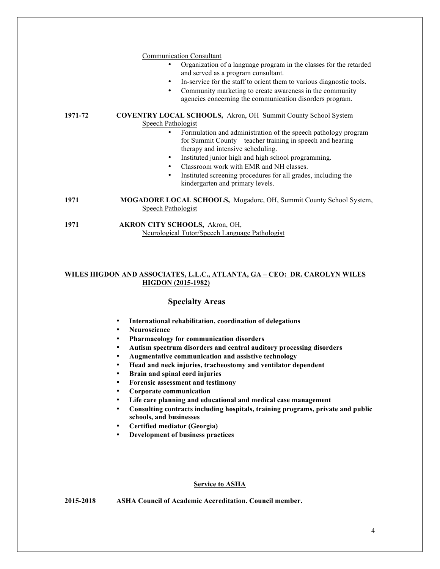|         | <b>Communication Consultant</b><br>Organization of a language program in the classes for the retarded<br>and served as a program consultant.<br>In-service for the staff to orient them to various diagnostic tools.<br>٠<br>Community marketing to create awareness in the community<br>٠<br>agencies concerning the communication disorders program.                                                                                                                                                             |
|---------|--------------------------------------------------------------------------------------------------------------------------------------------------------------------------------------------------------------------------------------------------------------------------------------------------------------------------------------------------------------------------------------------------------------------------------------------------------------------------------------------------------------------|
| 1971-72 | <b>COVENTRY LOCAL SCHOOLS, Akron, OH Summit County School System</b><br>Speech Pathologist<br>Formulation and administration of the speech pathology program<br>$\bullet$<br>for Summit County – teacher training in speech and hearing<br>therapy and intensive scheduling.<br>Instituted junior high and high school programming.<br>$\bullet$<br>Classroom work with EMR and NH classes.<br>$\bullet$<br>Instituted screening procedures for all grades, including the<br>٠<br>kindergarten and primary levels. |
| 1971    | <b>MOGADORE LOCAL SCHOOLS, Mogadore, OH, Summit County School System,</b><br>Speech Pathologist                                                                                                                                                                                                                                                                                                                                                                                                                    |
| 1971    | AKRON CITY SCHOOLS, Akron, OH,<br>Neurological Tutor/Speech Language Pathologist                                                                                                                                                                                                                                                                                                                                                                                                                                   |

# **WILES HIGDON AND ASSOCIATES, L.L.C., ATLANTA, GA – CEO: DR. CAROLYN WILES HIGDON (2015-1982)**

# **Specialty Areas**

- **International rehabilitation, coordination of delegations**
- **Neuroscience**
- **Pharmacology for communication disorders**
- **Autism spectrum disorders and central auditory processing disorders**
- **Augmentative communication and assistive technology**
- **Head and neck injuries, tracheostomy and ventilator dependent**
- **Brain and spinal cord injuries**
- **Forensic assessment and testimony**
- **Corporate communication**
- **Life care planning and educational and medical case management**
- **Consulting contracts including hospitals, training programs, private and public schools, and businesses**
- **Certified mediator (Georgia)**
- **Development of business practices**

#### **Service to ASHA**

**2015-2018 ASHA Council of Academic Accreditation. Council member.**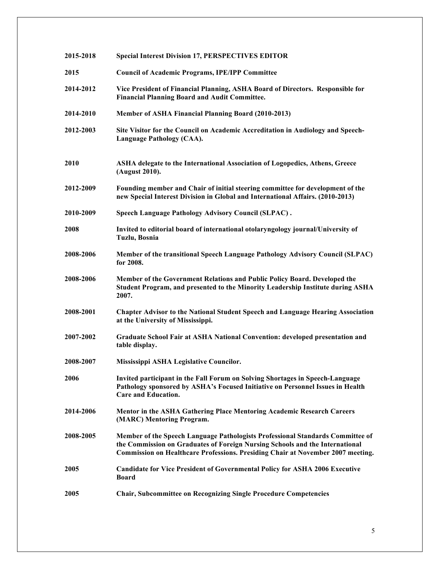| 2015-2018 | <b>Special Interest Division 17, PERSPECTIVES EDITOR</b>                                                                                                                                                                                                 |
|-----------|----------------------------------------------------------------------------------------------------------------------------------------------------------------------------------------------------------------------------------------------------------|
| 2015      | <b>Council of Academic Programs, IPE/IPP Committee</b>                                                                                                                                                                                                   |
| 2014-2012 | Vice President of Financial Planning, ASHA Board of Directors. Responsible for<br><b>Financial Planning Board and Audit Committee.</b>                                                                                                                   |
| 2014-2010 | Member of ASHA Financial Planning Board (2010-2013)                                                                                                                                                                                                      |
| 2012-2003 | Site Visitor for the Council on Academic Accreditation in Audiology and Speech-<br><b>Language Pathology (CAA).</b>                                                                                                                                      |
| 2010      | ASHA delegate to the International Association of Logopedics, Athens, Greece<br>(August 2010).                                                                                                                                                           |
| 2012-2009 | Founding member and Chair of initial steering committee for development of the<br>new Special Interest Division in Global and International Affairs. (2010-2013)                                                                                         |
| 2010-2009 | Speech Language Pathology Advisory Council (SLPAC).                                                                                                                                                                                                      |
| 2008      | Invited to editorial board of international otolaryngology journal/University of<br>Tuzlu, Bosnia                                                                                                                                                        |
| 2008-2006 | Member of the transitional Speech Language Pathology Advisory Council (SLPAC)<br>for 2008.                                                                                                                                                               |
| 2008-2006 | Member of the Government Relations and Public Policy Board. Developed the<br>Student Program, and presented to the Minority Leadership Institute during ASHA<br>2007.                                                                                    |
| 2008-2001 | <b>Chapter Advisor to the National Student Speech and Language Hearing Association</b><br>at the University of Mississippi.                                                                                                                              |
| 2007-2002 | <b>Graduate School Fair at ASHA National Convention: developed presentation and</b><br>table display.                                                                                                                                                    |
| 2008-2007 | Mississippi ASHA Legislative Councilor.                                                                                                                                                                                                                  |
| 2006      | Invited participant in the Fall Forum on Solving Shortages in Speech-Language<br>Pathology sponsored by ASHA's Focused Initiative on Personnel Issues in Health<br><b>Care and Education.</b>                                                            |
| 2014-2006 | <b>Mentor in the ASHA Gathering Place Mentoring Academic Research Careers</b><br>(MARC) Mentoring Program.                                                                                                                                               |
| 2008-2005 | Member of the Speech Language Pathologists Professional Standards Committee of<br>the Commission on Graduates of Foreign Nursing Schools and the International<br><b>Commission on Healthcare Professions. Presiding Chair at November 2007 meeting.</b> |
| 2005      | <b>Candidate for Vice President of Governmental Policy for ASHA 2006 Executive</b><br>Board                                                                                                                                                              |
| 2005      | <b>Chair, Subcommittee on Recognizing Single Procedure Competencies</b>                                                                                                                                                                                  |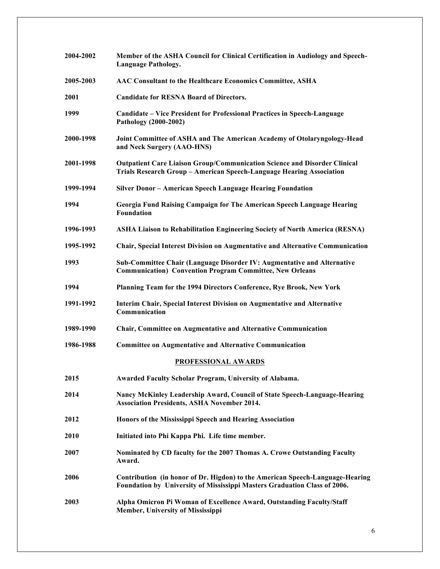| 2004-2002 | Member of the ASHA Council for Clinical Certification in Audiology and Speech-<br><b>Language Pathology.</b>                                               |
|-----------|------------------------------------------------------------------------------------------------------------------------------------------------------------|
| 2005-2003 | AAC Consultant to the Healthcare Economics Committee, ASHA                                                                                                 |
| 2001      | <b>Candidate for RESNA Board of Directors.</b>                                                                                                             |
| 1999      | Candidate – Vice President for Professional Practices in Speech-Language<br>Pathology (2000-2002)                                                          |
| 2000-1998 | Joint Committee of ASHA and The American Academy of Otolaryngology-Head<br>and Neck Surgery (AAO-HNS)                                                      |
| 2001-1998 | <b>Outpatient Care Liaison Group/Communication Science and Disorder Clinical</b><br>Trials Research Group - American Speech-Language Hearing Association   |
| 1999-1994 | Silver Donor - American Speech Language Hearing Foundation                                                                                                 |
| 1994      | Georgia Fund Raising Campaign for The American Speech Language Hearing<br><b>Foundation</b>                                                                |
| 1996-1993 | <b>ASHA Liaison to Rehabilitation Engineering Society of North America (RESNA)</b>                                                                         |
| 1995-1992 | <b>Chair, Special Interest Division on Augmentative and Alternative Communication</b>                                                                      |
| 1993      | Sub-Committee Chair (Language Disorder IV: Augmentative and Alternative<br><b>Communication) Convention Program Committee, New Orleans</b>                 |
| 1994      | Planning Team for the 1994 Directors Conference, Rye Brook, New York                                                                                       |
| 1991-1992 | Interim Chair, Special Interest Division on Augmentative and Alternative<br>Communication                                                                  |
| 1989-1990 | Chair, Committee on Augmentative and Alternative Communication                                                                                             |
| 1986-1988 | <b>Committee on Augmentative and Alternative Communication</b>                                                                                             |
|           | PROFESSIONAL AWARDS                                                                                                                                        |
| 2015      | Awarded Faculty Scholar Program, University of Alabama.                                                                                                    |
| 2014      | Nancy McKinley Leadership Award, Council of State Speech-Language-Hearing<br><b>Association Presidents, ASHA November 2014.</b>                            |
| 2012      | Honors of the Mississippi Speech and Hearing Association                                                                                                   |
| 2010      | Initiated into Phi Kappa Phi. Life time member.                                                                                                            |
| 2007      | Nominated by CD faculty for the 2007 Thomas A. Crowe Outstanding Faculty<br>Award.                                                                         |
| 2006      | Contribution (in honor of Dr. Higdon) to the American Speech-Language-Hearing<br>Foundation by University of Mississippi Masters Graduation Class of 2006. |
| 2003      | Alpha Omicron Pi Woman of Excellence Award, Outstanding Faculty/Staff<br>Member, University of Mississippi                                                 |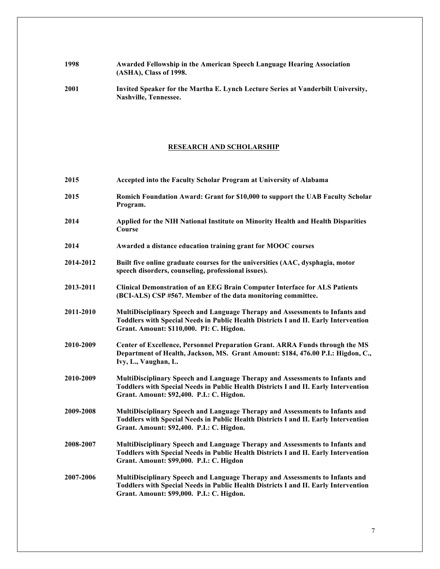# **1998 Awarded Fellowship in the American Speech Language Hearing Association (ASHA), Class of 1998.**

**2001 Invited Speaker for the Martha E. Lynch Lecture Series at Vanderbilt University, Nashville, Tennessee.**

# **RESEARCH AND SCHOLARSHIP**

| 2015      | Accepted into the Faculty Scholar Program at University of Alabama                                                                                                                                               |
|-----------|------------------------------------------------------------------------------------------------------------------------------------------------------------------------------------------------------------------|
| 2015      | Romich Foundation Award: Grant for \$10,000 to support the UAB Faculty Scholar<br>Program.                                                                                                                       |
| 2014      | Applied for the NIH National Institute on Minority Health and Health Disparities<br>Course                                                                                                                       |
| 2014      | Awarded a distance education training grant for MOOC courses                                                                                                                                                     |
| 2014-2012 | Built five online graduate courses for the universities (AAC, dysphagia, motor<br>speech disorders, counseling, professional issues).                                                                            |
| 2013-2011 | <b>Clinical Demonstration of an EEG Brain Computer Interface for ALS Patients</b><br>(BCI-ALS) CSP #567. Member of the data monitoring committee.                                                                |
| 2011-2010 | MultiDisciplinary Speech and Language Therapy and Assessments to Infants and<br>Toddlers with Special Needs in Public Health Districts I and II. Early Intervention<br>Grant. Amount: \$110,000. PI: C. Higdon.  |
| 2010-2009 | Center of Excellence, Personnel Preparation Grant. ARRA Funds through the MS<br>Department of Health, Jackson, MS. Grant Amount: \$184, 476.00 P.I.: Higdon, C.,<br>Ivy, L., Vaughan, L.                         |
| 2010-2009 | MultiDisciplinary Speech and Language Therapy and Assessments to Infants and<br>Toddlers with Special Needs in Public Health Districts I and II. Early Intervention<br>Grant. Amount: \$92,400. P.I.: C. Higdon. |
| 2009-2008 | MultiDisciplinary Speech and Language Therapy and Assessments to Infants and<br>Toddlers with Special Needs in Public Health Districts I and II. Early Intervention<br>Grant. Amount: \$92,400. P.I.: C. Higdon. |
| 2008-2007 | MultiDisciplinary Speech and Language Therapy and Assessments to Infants and<br>Toddlers with Special Needs in Public Health Districts I and II. Early Intervention<br>Grant. Amount: \$99,000. P.I.: C. Higdon  |
| 2007-2006 | MultiDisciplinary Speech and Language Therapy and Assessments to Infants and<br>Toddlers with Special Needs in Public Health Districts I and II. Early Intervention<br>Grant. Amount: \$99,000. P.I.: C. Higdon. |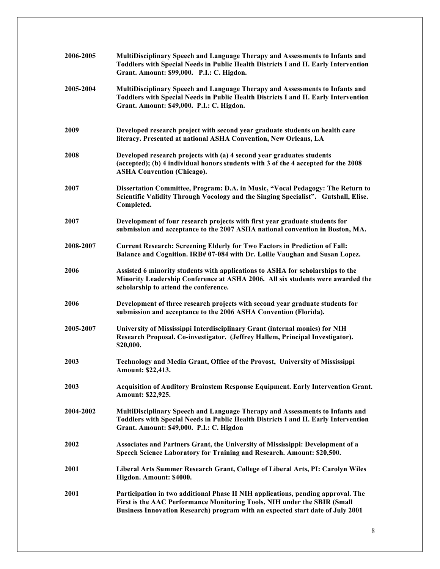| 2006-2005 | MultiDisciplinary Speech and Language Therapy and Assessments to Infants and<br>Toddlers with Special Needs in Public Health Districts I and II. Early Intervention<br>Grant. Amount: \$99,000. P.I.: C. Higdon.                               |
|-----------|------------------------------------------------------------------------------------------------------------------------------------------------------------------------------------------------------------------------------------------------|
| 2005-2004 | MultiDisciplinary Speech and Language Therapy and Assessments to Infants and<br>Toddlers with Special Needs in Public Health Districts I and II. Early Intervention<br>Grant. Amount: \$49,000. P.I.: C. Higdon.                               |
| 2009      | Developed research project with second year graduate students on health care<br>literacy. Presented at national ASHA Convention, New Orleans, LA                                                                                               |
| 2008      | Developed research projects with (a) 4 second year graduates students<br>(accepted); (b) 4 individual honors students with 3 of the 4 accepted for the 2008<br><b>ASHA Convention (Chicago).</b>                                               |
| 2007      | Dissertation Committee, Program: D.A. in Music, "Vocal Pedagogy: The Return to<br>Scientific Validity Through Vocology and the Singing Specialist". Gutshall, Elise.<br>Completed.                                                             |
| 2007      | Development of four research projects with first year graduate students for<br>submission and acceptance to the 2007 ASHA national convention in Boston, MA.                                                                                   |
| 2008-2007 | <b>Current Research: Screening Elderly for Two Factors in Prediction of Fall:</b><br>Balance and Cognition. IRB# 07-084 with Dr. Lollie Vaughan and Susan Lopez.                                                                               |
| 2006      | Assisted 6 minority students with applications to ASHA for scholarships to the<br>Minority Leadership Conference at ASHA 2006. All six students were awarded the<br>scholarship to attend the conference.                                      |
| 2006      | Development of three research projects with second year graduate students for<br>submission and acceptance to the 2006 ASHA Convention (Florida).                                                                                              |
| 2005-2007 | University of Mississippi Interdisciplinary Grant (internal monies) for NIH<br>Research Proposal. Co-investigator. (Jeffrey Hallem, Principal Investigator).<br>\$20,000.                                                                      |
| 2003      | Technology and Media Grant, Office of the Provost, University of Mississippi<br>Amount: \$22,413.                                                                                                                                              |
| 2003      | <b>Acquisition of Auditory Brainstem Response Equipment. Early Intervention Grant.</b><br>Amount: \$22,925.                                                                                                                                    |
| 2004-2002 | MultiDisciplinary Speech and Language Therapy and Assessments to Infants and<br>Toddlers with Special Needs in Public Health Districts I and II. Early Intervention<br>Grant. Amount: \$49,000. P.I.: C. Higdon                                |
| 2002      | Associates and Partners Grant, the University of Mississippi: Development of a<br>Speech Science Laboratory for Training and Research. Amount: \$20,500.                                                                                       |
| 2001      | Liberal Arts Summer Research Grant, College of Liberal Arts, PI: Carolyn Wiles<br>Higdon. Amount: \$4000.                                                                                                                                      |
| 2001      | Participation in two additional Phase II NIH applications, pending approval. The<br>First is the AAC Performance Monitoring Tools, NIH under the SBIR (Small<br>Business Innovation Research) program with an expected start date of July 2001 |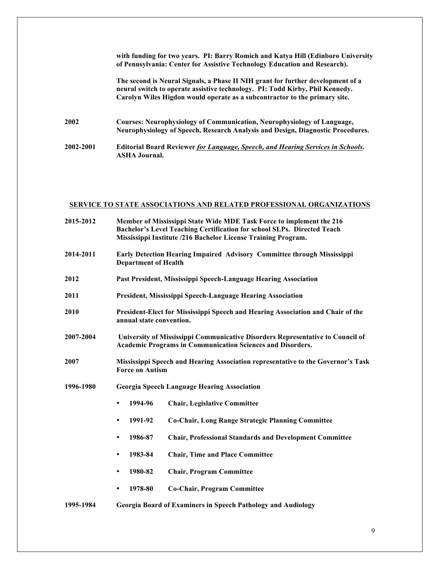|           | with funding for two years. PI: Barry Romich and Katya Hill (Edinboro University<br>of Pennsylvania: Center for Assistive Technology Education and Research).                                                                                 |
|-----------|-----------------------------------------------------------------------------------------------------------------------------------------------------------------------------------------------------------------------------------------------|
|           | The second is Neural Signals, a Phase II NIH grant for further development of a<br>neural switch to operate assistive technology. PI: Todd Kirby, Phil Kennedy.<br>Carolyn Wiles Higdon would operate as a subcontractor to the primary site. |
| 2002      | <b>Courses: Neurophysiology of Communication, Neurophysiology of Language,</b><br>Neurophysiology of Speech, Research Analysis and Design, Diagnostic Procedures.                                                                             |
| 2002-2001 | <b>Editorial Board Reviewer for Language, Speech, and Hearing Services in Schools.</b><br><b>ASHA Journal.</b>                                                                                                                                |

# **SERVICE TO STATE ASSOCIATIONS AND RELATED PROFESSIONAL ORGANIZATIONS**

| 2015-2012 |                                                                                                                                                     | Member of Mississippi State Wide MDE Task Force to implement the 216<br>Bachelor's Level Teaching Certification for school SLPs. Directed Teach<br>Mississippi Institute /216 Bachelor License Training Program. |
|-----------|-----------------------------------------------------------------------------------------------------------------------------------------------------|------------------------------------------------------------------------------------------------------------------------------------------------------------------------------------------------------------------|
| 2014-2011 | <b>Department of Health</b>                                                                                                                         | Early Detection Hearing Impaired Advisory Committee through Mississippi                                                                                                                                          |
| 2012      | Past President, Mississippi Speech-Language Hearing Association                                                                                     |                                                                                                                                                                                                                  |
| 2011      |                                                                                                                                                     | <b>President, Mississippi Speech-Language Hearing Association</b>                                                                                                                                                |
| 2010      | President-Elect for Mississippi Speech and Hearing Association and Chair of the<br>annual state convention.                                         |                                                                                                                                                                                                                  |
| 2007-2004 | University of Mississippi Communicative Disorders Representative to Council of<br><b>Academic Programs in Communication Sciences and Disorders.</b> |                                                                                                                                                                                                                  |
| 2007      | <b>Force on Autism</b>                                                                                                                              | Mississippi Speech and Hearing Association representative to the Governor's Task                                                                                                                                 |
| 1996-1980 | <b>Georgia Speech Language Hearing Association</b>                                                                                                  |                                                                                                                                                                                                                  |
|           | 1994-96<br>٠                                                                                                                                        | <b>Chair, Legislative Committee</b>                                                                                                                                                                              |
|           | 1991-92<br>$\bullet$                                                                                                                                | Co-Chair, Long Range Strategic Planning Committee                                                                                                                                                                |
|           | 1986-87<br>٠                                                                                                                                        | <b>Chair, Professional Standards and Development Committee</b>                                                                                                                                                   |
|           | 1983-84<br>٠                                                                                                                                        | <b>Chair, Time and Place Committee</b>                                                                                                                                                                           |
|           | 1980-82<br>٠                                                                                                                                        | <b>Chair, Program Committee</b>                                                                                                                                                                                  |
|           | 1978-80<br>$\bullet$                                                                                                                                | <b>Co-Chair, Program Committee</b>                                                                                                                                                                               |
| 1995-1984 |                                                                                                                                                     | <b>Georgia Board of Examiners in Speech Pathology and Audiology</b>                                                                                                                                              |
|           |                                                                                                                                                     |                                                                                                                                                                                                                  |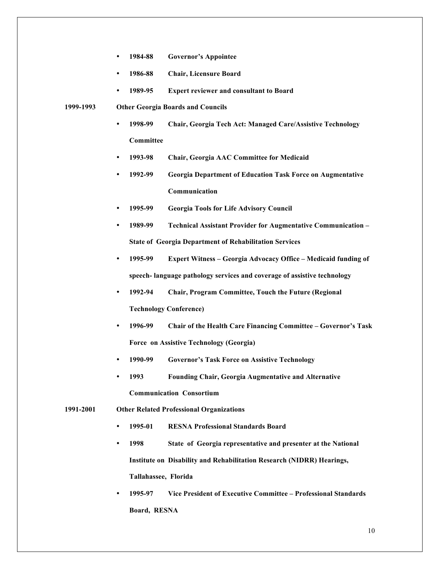- **1984-88 Governor's Appointee**
- **1986-88 Chair, Licensure Board**
- **1989-95 Expert reviewer and consultant to Board**
- **1999-1993 Other Georgia Boards and Councils**
	- **1998-99 Chair, Georgia Tech Act: Managed Care/Assistive Technology Committee**
	- **1993-98 Chair, Georgia AAC Committee for Medicaid**
	- **1992-99 Georgia Department of Education Task Force on Augmentative Communication**
	- **1995-99 Georgia Tools for Life Advisory Council**
	- **1989-99 Technical Assistant Provider for Augmentative Communication – State of Georgia Department of Rehabilitation Services**
	- **1995-99 Expert Witness – Georgia Advocacy Office – Medicaid funding of speech- language pathology services and coverage of assistive technology**
	- **1992-94 Chair, Program Committee, Touch the Future (Regional Technology Conference)**
	- **1996-99 Chair of the Health Care Financing Committee – Governor's Task Force on Assistive Technology (Georgia)**
	- **1990-99 Governor's Task Force on Assistive Technology**
	- **1993 Founding Chair, Georgia Augmentative and Alternative Communication Consortium**
- **1991-2001 Other Related Professional Organizations**
	- **1995-01 RESNA Professional Standards Board**
	- **1998 State of Georgia representative and presenter at the National Institute on Disability and Rehabilitation Research (NIDRR) Hearings, Tallahassee, Florida**
	- **1995-97 Vice President of Executive Committee – Professional Standards Board, RESNA**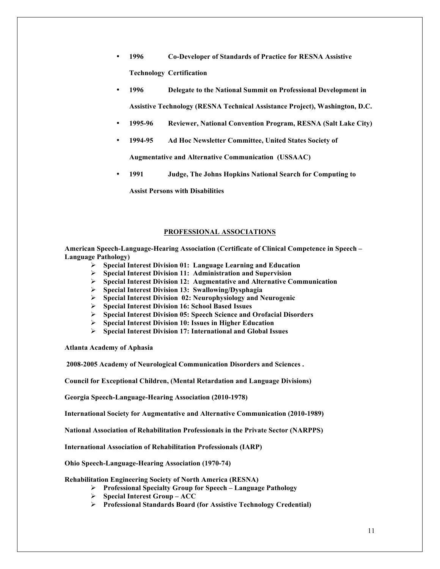- **1996 Co-Developer of Standards of Practice for RESNA Assistive Technology Certification**
- **1996 Delegate to the National Summit on Professional Development in Assistive Technology (RESNA Technical Assistance Project), Washington, D.C.**
- **1995-96 Reviewer, National Convention Program, RESNA (Salt Lake City)**
- **1994-95 Ad Hoc Newsletter Committee, United States Society of**

**Augmentative and Alternative Communication (USSAAC)**

• **1991 Judge, The Johns Hopkins National Search for Computing to** 

**Assist Persons with Disabilities**

#### **PROFESSIONAL ASSOCIATIONS**

**American Speech-Language-Hearing Association (Certificate of Clinical Competence in Speech – Language Pathology)**

- Ø **Special Interest Division 01: Language Learning and Education**
- Ø **Special Interest Division 11: Administration and Supervision**
- Ø **Special Interest Division 12: Augmentative and Alternative Communication**
- Ø **Special Interest Division 13: Swallowing/Dysphagia**
- Ø **Special Interest Division 02: Neurophysiology and Neurogenic**
- Ø **Special Interest Division 16: School Based Issues**
- Ø **Special Interest Division 05: Speech Science and Orofacial Disorders**
- Ø **Special Interest Division 10: Issues in Higher Education**
- Ø **Special Interest Division 17: International and Global Issues**

**Atlanta Academy of Aphasia**

**2008-2005 Academy of Neurological Communication Disorders and Sciences .**

**Council for Exceptional Children, (Mental Retardation and Language Divisions)**

**Georgia Speech-Language-Hearing Association (2010-1978)**

**International Society for Augmentative and Alternative Communication (2010-1989)**

**National Association of Rehabilitation Professionals in the Private Sector (NARPPS)**

**International Association of Rehabilitation Professionals (IARP)**

**Ohio Speech-Language-Hearing Association (1970-74)**

**Rehabilitation Engineering Society of North America (RESNA)**

- Ø **Professional Specialty Group for Speech – Language Pathology**
- Ø **Special Interest Group – ACC**
- Ø **Professional Standards Board (for Assistive Technology Credential)**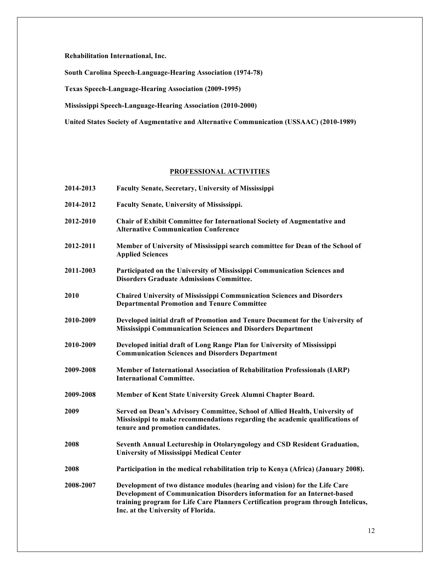**Rehabilitation International, Inc.**

**South Carolina Speech-Language-Hearing Association (1974-78)**

**Texas Speech-Language-Hearing Association (2009-1995)**

**Mississippi Speech-Language-Hearing Association (2010-2000)**

**United States Society of Augmentative and Alternative Communication (USSAAC) (2010-1989)**

# **PROFESSIONAL ACTIVITIES**

| 2014-2013 | <b>Faculty Senate, Secretary, University of Mississippi</b>                                                                                                                                                                                                                      |
|-----------|----------------------------------------------------------------------------------------------------------------------------------------------------------------------------------------------------------------------------------------------------------------------------------|
| 2014-2012 | <b>Faculty Senate, University of Mississippi.</b>                                                                                                                                                                                                                                |
| 2012-2010 | Chair of Exhibit Committee for International Society of Augmentative and<br><b>Alternative Communication Conference</b>                                                                                                                                                          |
| 2012-2011 | Member of University of Mississippi search committee for Dean of the School of<br><b>Applied Sciences</b>                                                                                                                                                                        |
| 2011-2003 | Participated on the University of Mississippi Communication Sciences and<br><b>Disorders Graduate Admissions Committee.</b>                                                                                                                                                      |
| 2010      | <b>Chaired University of Mississippi Communication Sciences and Disorders</b><br><b>Departmental Promotion and Tenure Committee</b>                                                                                                                                              |
| 2010-2009 | Developed initial draft of Promotion and Tenure Document for the University of<br><b>Mississippi Communication Sciences and Disorders Department</b>                                                                                                                             |
| 2010-2009 | Developed initial draft of Long Range Plan for University of Mississippi<br><b>Communication Sciences and Disorders Department</b>                                                                                                                                               |
| 2009-2008 | Member of International Association of Rehabilitation Professionals (IARP)<br><b>International Committee.</b>                                                                                                                                                                    |
| 2009-2008 | Member of Kent State University Greek Alumni Chapter Board.                                                                                                                                                                                                                      |
| 2009      | Served on Dean's Advisory Committee, School of Allied Health, University of<br>Mississippi to make recommendations regarding the academic qualifications of<br>tenure and promotion candidates.                                                                                  |
| 2008      | Seventh Annual Lectureship in Otolaryngology and CSD Resident Graduation,<br><b>University of Mississippi Medical Center</b>                                                                                                                                                     |
| 2008      | Participation in the medical rehabilitation trip to Kenya (Africa) (January 2008).                                                                                                                                                                                               |
| 2008-2007 | Development of two distance modules (hearing and vision) for the Life Care<br>Development of Communication Disorders information for an Internet-based<br>training program for Life Care Planners Certification program through Intelicus,<br>Inc. at the University of Florida. |
|           |                                                                                                                                                                                                                                                                                  |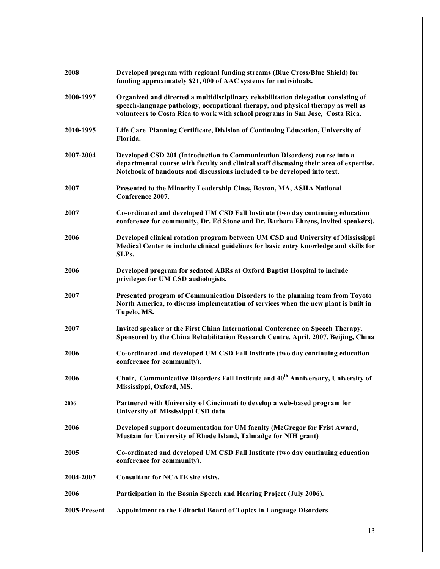| 2008         | Developed program with regional funding streams (Blue Cross/Blue Shield) for<br>funding approximately \$21, 000 of AAC systems for individuals.                                                                                                          |
|--------------|----------------------------------------------------------------------------------------------------------------------------------------------------------------------------------------------------------------------------------------------------------|
| 2000-1997    | Organized and directed a multidisciplinary rehabilitation delegation consisting of<br>speech-language pathology, occupational therapy, and physical therapy as well as<br>volunteers to Costa Rica to work with school programs in San Jose, Costa Rica. |
| 2010-1995    | Life Care Planning Certificate, Division of Continuing Education, University of<br>Florida.                                                                                                                                                              |
| 2007-2004    | Developed CSD 201 (Introduction to Communication Disorders) course into a<br>departmental course with faculty and clinical staff discussing their area of expertise.<br>Notebook of handouts and discussions included to be developed into text.         |
| 2007         | Presented to the Minority Leadership Class, Boston, MA, ASHA National<br>Conference 2007.                                                                                                                                                                |
| 2007         | Co-ordinated and developed UM CSD Fall Institute (two day continuing education<br>conference for community, Dr. Ed Stone and Dr. Barbara Ehrens, invited speakers).                                                                                      |
| 2006         | Developed clinical rotation program between UM CSD and University of Mississippi<br>Medical Center to include clinical guidelines for basic entry knowledge and skills for<br>SLPs.                                                                      |
| 2006         | Developed program for sedated ABRs at Oxford Baptist Hospital to include<br>privileges for UM CSD audiologists.                                                                                                                                          |
| 2007         | Presented program of Communication Disorders to the planning team from Toyoto<br>North America, to discuss implementation of services when the new plant is built in<br>Tupelo, MS.                                                                      |
| 2007         | Invited speaker at the First China International Conference on Speech Therapy.<br>Sponsored by the China Rehabilitation Research Centre. April, 2007. Beijing, China                                                                                     |
| 2006         | Co-ordinated and developed UM CSD Fall Institute (two day continuing education<br>conference for community).                                                                                                                                             |
| 2006         | Chair, Communicative Disorders Fall Institute and 40 <sup>th</sup> Anniversary, University of<br>Mississippi, Oxford, MS.                                                                                                                                |
| 2006         | Partnered with University of Cincinnati to develop a web-based program for<br>University of Mississippi CSD data                                                                                                                                         |
| 2006         | Developed support documentation for UM faculty (McGregor for Frist Award,<br>Mustain for University of Rhode Island, Talmadge for NIH grant)                                                                                                             |
| 2005         | Co-ordinated and developed UM CSD Fall Institute (two day continuing education<br>conference for community).                                                                                                                                             |
| 2004-2007    | <b>Consultant for NCATE site visits.</b>                                                                                                                                                                                                                 |
| 2006         | Participation in the Bosnia Speech and Hearing Project (July 2006).                                                                                                                                                                                      |
| 2005-Present | Appointment to the Editorial Board of Topics in Language Disorders                                                                                                                                                                                       |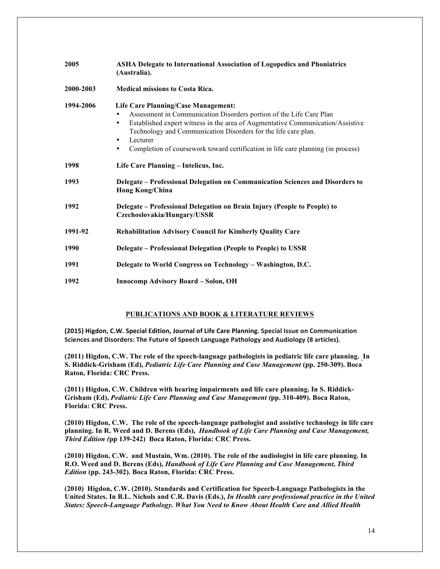| 2005      | <b>ASHA Delegate to International Association of Logopedics and Phoniatrics</b><br>(Australia).                                                                                                                                                                                                                                                                                                   |
|-----------|---------------------------------------------------------------------------------------------------------------------------------------------------------------------------------------------------------------------------------------------------------------------------------------------------------------------------------------------------------------------------------------------------|
| 2000-2003 | <b>Medical missions to Costa Rica.</b>                                                                                                                                                                                                                                                                                                                                                            |
| 1994-2006 | <b>Life Care Planning/Case Management:</b><br>Assessment in Communication Disorders portion of the Life Care Plan<br>٠<br>Established expert witness in the area of Augmentative Communication/Assistive<br>$\bullet$<br>Technology and Communication Disorders for the life care plan.<br>Lecturer<br>٠<br>Completion of coursework toward certification in life care planning (in process)<br>٠ |
| 1998      | Life Care Planning - Intelicus, Inc.                                                                                                                                                                                                                                                                                                                                                              |
| 1993      | Delegate – Professional Delegation on Communication Sciences and Disorders to<br><b>Hong Kong/China</b>                                                                                                                                                                                                                                                                                           |
| 1992      | Delegate - Professional Delegation on Brain Injury (People to People) to<br>Czechoslovakia/Hungary/USSR                                                                                                                                                                                                                                                                                           |
| 1991-92   | <b>Rehabilitation Advisory Council for Kimberly Quality Care</b>                                                                                                                                                                                                                                                                                                                                  |
| 1990      | Delegate – Professional Delegation (People to People) to USSR                                                                                                                                                                                                                                                                                                                                     |
| 1991      | Delegate to World Congress on Technology - Washington, D.C.                                                                                                                                                                                                                                                                                                                                       |
| 1992      | <b>Innocomp Advisory Board - Solon, OH</b>                                                                                                                                                                                                                                                                                                                                                        |

# **PUBLICATIONS AND BOOK & LITERATURE REVIEWS**

(2015) Higdon, C.W. Special Edition, Journal of Life Care Planning. Special Issue on Communication Sciences and Disorders: The Future of Speech Language Pathology and Audiology (8 articles).

**(2011) Higdon, C.W. The role of the speech-language pathologists in pediatric life care planning. In S. Riddick-Grisham (Ed),** *Pediatric Life Care Planning and Case Management* **(pp. 250-309). Boca Raton, Florida: CRC Press.**

**(2011) Higdon, C.W. Children with hearing impairments and life care planning. In S. Riddick-Grisham (Ed),** *Pediatric Life Care Planning and Case Management (***pp. 310-409). Boca Raton, Florida: CRC Press.**

**(2010) Higdon, C.W. The role of the speech-language pathologist and assistive technology in life care planning. In R. Weed and D. Berens (Eds),** *Handbook of Life Care Planning and Case Management, Third Edition (***pp 139-242) Boca Raton, Florida: CRC Press.** 

**(2010) Higdon, C.W. and Mustain, Wm. (2010). The role of the audiologist in life care planning. In R.O. Weed and D. Berens (Eds),** *Handbook of Life Care Planning and Case Management***,** *Third Edition* **(pp. 243-302). Boca Raton, Florida: CRC Press.** 

**(2010) Higdon, C.W. (2010). Standards and Certification for Speech-Language Pathologists in the United States. In B.L. Nichols and C.R. Davis (Eds.),** *In Health care professional practice in the United States: Speech-Language Pathology. What You Need to Know About Health Care and Allied Health*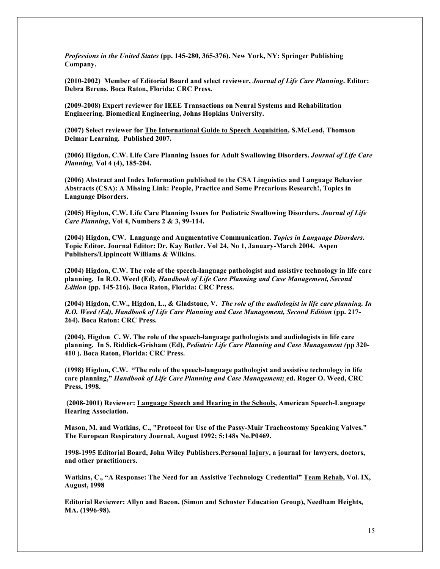*Professions in the United States* **(pp. 145-280, 365-376). New York, NY: Springer Publishing Company.**

**(2010-2002) Member of Editorial Board and select reviewer,** *Journal of Life Care Planning***. Editor: Debra Berens. Boca Raton, Florida: CRC Press.** 

**(2009-2008) Expert reviewer for IEEE Transactions on Neural Systems and Rehabilitation Engineering. Biomedical Engineering, Johns Hopkins University.**

**(2007) Select reviewer for The International Guide to Speech Acquisition, S.McLeod, Thomson Delmar Learning. Published 2007.**

**(2006) Higdon, C.W. Life Care Planning Issues for Adult Swallowing Disorders.** *Journal of Life Care Planning,* **Vol 4 (4), 185-204.** 

**(2006) Abstract and Index Information published to the CSA Linguistics and Language Behavior Abstracts (CSA): A Missing Link: People, Practice and Some Precarious Research!, Topics in Language Disorders.**

**(2005) Higdon, C.W. Life Care Planning Issues for Pediatric Swallowing Disorders.** *Journal of Life Care Planning***, Vol 4, Numbers 2 & 3, 99-114.**

**(2004) Higdon, CW. Language and Augmentative Communication.** *Topics in Language Disorders***. Topic Editor. Journal Editor: Dr. Kay Butler. Vol 24, No 1, January-March 2004. Aspen Publishers/Lippincott Williams & Wilkins.**

**(2004) Higdon, C.W. The role of the speech-language pathologist and assistive technology in life care planning. In R.O. Weed (Ed),** *Handbook of Life Care Planning and Case Management, Second Edition* **(pp. 145-216). Boca Raton, Florida: CRC Press.** 

**(2004) Higdon, C.W., Higdon, L., & Gladstone, V.** *The role of the audiologist in life care planning. In R.O. Weed (Ed), Handbook of Life Care Planning and Case Management, Second Edition* **(pp. 217- 264). Boca Raton: CRC Press.** 

**(2004), Higdon C. W. The role of the speech-language pathologists and audiologists in life care planning. In S. Riddick-Grisham (Ed),** *Pediatric Life Care Planning and Case Management (***pp 320- 410 ). Boca Raton, Florida: CRC Press.** 

**(1998) Higdon, C.W. "The role of the speech-language pathologist and assistive technology in life care planning,"** *Handbook of Life Care Planning and Case Management;* **ed. Roger O. Weed, CRC Press, 1998.**

**(2008-2001) Reviewer: Language Speech and Hearing in the Schools, American Speech-Language Hearing Association.**

**Mason, M. and Watkins, C., "Protocol for Use of the Passy-Muir Tracheostomy Speaking Valves." The European Respiratory Journal, August 1992; 5:148s No.P0469.**

**1998-1995 Editorial Board, John Wiley Publishers.Personal Injury, a journal for lawyers, doctors, and other practitioners.**

**Watkins, C., "A Response: The Need for an Assistive Technology Credential" Team Rehab, Vol. IX, August, 1998**

**Editorial Reviewer: Allyn and Bacon. (Simon and Schuster Education Group), Needham Heights, MA. (1996-98).**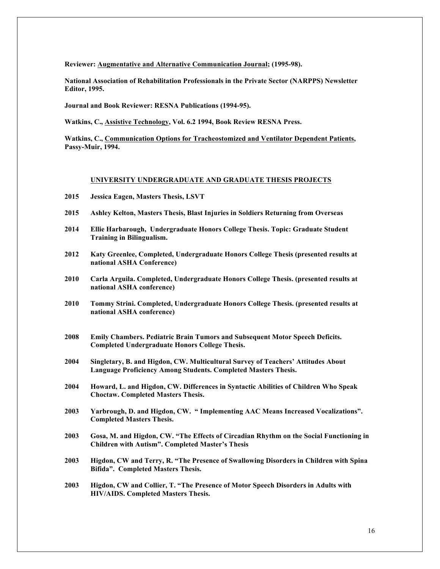**Reviewer: Augmentative and Alternative Communication Journal; (1995-98).**

**National Association of Rehabilitation Professionals in the Private Sector (NARPPS) Newsletter Editor, 1995.**

**Journal and Book Reviewer: RESNA Publications (1994-95).**

**Watkins, C., Assistive Technology, Vol. 6.2 1994, Book Review RESNA Press.**

**Watkins, C., Communication Options for Tracheostomized and Ventilator Dependent Patients, Passy-Muir, 1994.**

#### **UNIVERSITY UNDERGRADUATE AND GRADUATE THESIS PROJECTS**

- **2015 Jessica Eagen, Masters Thesis, LSVT**
- **2015 Ashley Kelton, Masters Thesis, Blast Injuries in Soldiers Returning from Overseas**
- **2014 Ellie Harbarough, Undergraduate Honors College Thesis. Topic: Graduate Student Training in Bilingualism.**
- **2012 Katy Greenlee, Completed, Undergraduate Honors College Thesis (presented results at national ASHA Conference)**
- **2010 Carla Arguila. Completed, Undergraduate Honors College Thesis. (presented results at national ASHA conference)**
- **2010 Tommy Strini. Completed, Undergraduate Honors College Thesis. (presented results at national ASHA conference)**
- **2008 Emily Chambers. Pediatric Brain Tumors and Subsequent Motor Speech Deficits. Completed Undergraduate Honors College Thesis.**
- **2004 Singletary, B. and Higdon, CW. Multicultural Survey of Teachers' Attitudes About Language Proficiency Among Students. Completed Masters Thesis.**
- **2004 Howard, L. and Higdon, CW. Differences in Syntactic Abilities of Children Who Speak Choctaw. Completed Masters Thesis.**
- **2003 Yarbrough, D. and Higdon, CW. " Implementing AAC Means Increased Vocalizations". Completed Masters Thesis.**
- **2003 Gosa, M. and Higdon, CW. "The Effects of Circadian Rhythm on the Social Functioning in Children with Autism". Completed Master's Thesis**
- **2003 Higdon, CW and Terry, R. "The Presence of Swallowing Disorders in Children with Spina Bifida". Completed Masters Thesis.**
- **2003 Higdon, CW and Collier, T. "The Presence of Motor Speech Disorders in Adults with HIV/AIDS. Completed Masters Thesis.**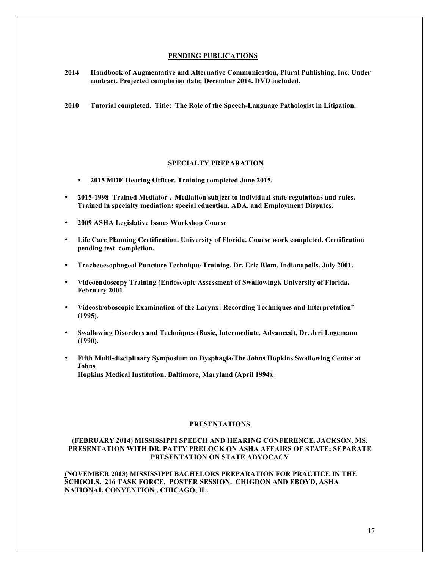#### **PENDING PUBLICATIONS**

**2014 Handbook of Augmentative and Alternative Communication, Plural Publishing, Inc. Under contract. Projected completion date: December 2014. DVD included.** 

**2010 Tutorial completed. Title: The Role of the Speech-Language Pathologist in Litigation.**

#### **SPECIALTY PREPARATION**

- **2015 MDE Hearing Officer. Training completed June 2015.**
- **2015-1998 Trained Mediator . Mediation subject to individual state regulations and rules. Trained in specialty mediation: special education, ADA, and Employment Disputes.**
- **2009 ASHA Legislative Issues Workshop Course**
- **Life Care Planning Certification. University of Florida. Course work completed. Certification pending test completion.**
- **Tracheoesophageal Puncture Technique Training. Dr. Eric Blom. Indianapolis. July 2001.**
- **Videoendoscopy Training (Endoscopic Assessment of Swallowing). University of Florida. February 2001**
- **Videostroboscopic Examination of the Larynx: Recording Techniques and Interpretation" (1995).**
- **Swallowing Disorders and Techniques (Basic, Intermediate, Advanced), Dr. Jeri Logemann (1990).**
- **Fifth Multi-disciplinary Symposium on Dysphagia/The Johns Hopkins Swallowing Center at Johns Hopkins Medical Institution, Baltimore, Maryland (April 1994).**

#### **PRESENTATIONS**

# **(FEBRUARY 2014) MISSISSIPPI SPEECH AND HEARING CONFERENCE, JACKSON, MS. PRESENTATION WITH DR. PATTY PRELOCK ON ASHA AFFAIRS OF STATE; SEPARATE PRESENTATION ON STATE ADVOCACY**

**(NOVEMBER 2013) MISSISSIPPI BACHELORS PREPARATION FOR PRACTICE IN THE SCHOOLS. 216 TASK FORCE. POSTER SESSION. CHIGDON AND EBOYD, ASHA NATIONAL CONVENTION , CHICAGO, IL.**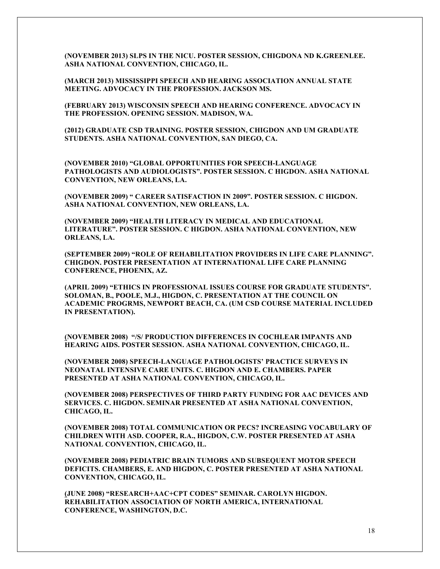**(NOVEMBER 2013) SLPS IN THE NICU. POSTER SESSION, CHIGDONA ND K.GREENLEE. ASHA NATIONAL CONVENTION, CHICAGO, IL.** 

**(MARCH 2013) MISSISSIPPI SPEECH AND HEARING ASSOCIATION ANNUAL STATE MEETING. ADVOCACY IN THE PROFESSION. JACKSON MS.** 

**(FEBRUARY 2013) WISCONSIN SPEECH AND HEARING CONFERENCE. ADVOCACY IN THE PROFESSION. OPENING SESSION. MADISON, WA.** 

**(2012) GRADUATE CSD TRAINING. POSTER SESSION, CHIGDON AND UM GRADUATE STUDENTS. ASHA NATIONAL CONVENTION, SAN DIEGO, CA.** 

**(NOVEMBER 2010) "GLOBAL OPPORTUNITIES FOR SPEECH-LANGUAGE PATHOLOGISTS AND AUDIOLOGISTS". POSTER SESSION. C HIGDON. ASHA NATIONAL CONVENTION, NEW ORLEANS, LA.**

**(NOVEMBER 2009) " CAREER SATISFACTION IN 2009". POSTER SESSION. C HIGDON. ASHA NATIONAL CONVENTION, NEW ORLEANS, LA.**

**(NOVEMBER 2009) "HEALTH LITERACY IN MEDICAL AND EDUCATIONAL LITERATURE". POSTER SESSION. C HIGDON. ASHA NATIONAL CONVENTION, NEW ORLEANS, LA.**

**(SEPTEMBER 2009) "ROLE OF REHABILITATION PROVIDERS IN LIFE CARE PLANNING". CHIGDON. POSTER PRESENTATION AT INTERNATIONAL LIFE CARE PLANNING CONFERENCE, PHOENIX, AZ.**

**(APRIL 2009) "ETHICS IN PROFESSIONAL ISSUES COURSE FOR GRADUATE STUDENTS". SOLOMAN, B., POOLE, M.J., HIGDON, C. PRESENTATION AT THE COUNCIL ON ACADEMIC PROGRMS, NEWPORT BEACH, CA. (UM CSD COURSE MATERIAL INCLUDED IN PRESENTATION).** 

**(NOVEMBER 2008) "/S/ PRODUCTION DIFFERENCES IN COCHLEAR IMPANTS AND HEARING AIDS. POSTER SESSION. ASHA NATIONAL CONVENTION, CHICAGO, IL.**

**(NOVEMBER 2008) SPEECH-LANGUAGE PATHOLOGISTS' PRACTICE SURVEYS IN NEONATAL INTENSIVE CARE UNITS. C. HIGDON AND E. CHAMBERS. PAPER PRESENTED AT ASHA NATIONAL CONVENTION, CHICAGO, IL.**

**(NOVEMBER 2008) PERSPECTIVES OF THIRD PARTY FUNDING FOR AAC DEVICES AND SERVICES. C. HIGDON. SEMINAR PRESENTED AT ASHA NATIONAL CONVENTION, CHICAGO, IL.** 

**(NOVEMBER 2008) TOTAL COMMUNICATION OR PECS? INCREASING VOCABULARY OF CHILDREN WITH ASD. COOPER, R.A., HIGDON, C.W. POSTER PRESENTED AT ASHA NATIONAL CONVENTION, CHICAGO, IL.** 

**(NOVEMBER 2008) PEDIATRIC BRAIN TUMORS AND SUBSEQUENT MOTOR SPEECH DEFICITS. CHAMBERS, E. AND HIGDON, C. POSTER PRESENTED AT ASHA NATIONAL CONVENTION, CHICAGO, IL.** 

**(JUNE 2008) "RESEARCH+AAC+CPT CODES" SEMINAR. CAROLYN HIGDON. REHABILITATION ASSOCIATION OF NORTH AMERICA, INTERNATIONAL CONFERENCE, WASHINGTON, D.C.**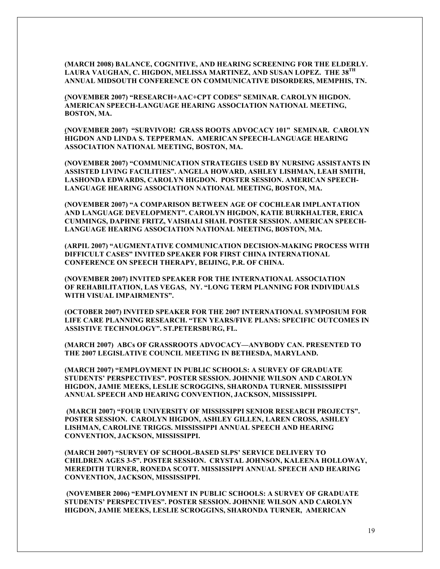**(MARCH 2008) BALANCE, COGNITIVE, AND HEARING SCREENING FOR THE ELDERLY. LAURA VAUGHAN, C. HIGDON, MELISSA MARTINEZ, AND SUSAN LOPEZ. THE 38TH ANNUAL MIDSOUTH CONFERENCE ON COMMUNICATIVE DISORDERS, MEMPHIS, TN.**

**(NOVEMBER 2007) "RESEARCH+AAC+CPT CODES" SEMINAR. CAROLYN HIGDON. AMERICAN SPEECH-LANGUAGE HEARING ASSOCIATION NATIONAL MEETING, BOSTON, MA.**

**(NOVEMBER 2007) "SURVIVOR! GRASS ROOTS ADVOCACY 101" SEMINAR. CAROLYN HIGDON AND LINDA S. TEPPERMAN. AMERICAN SPEECH-LANGUAGE HEARING ASSOCIATION NATIONAL MEETING, BOSTON, MA.**

**(NOVEMBER 2007) "COMMUNICATION STRATEGIES USED BY NURSING ASSISTANTS IN ASSISTED LIVING FACILITIES". ANGELA HOWARD, ASHLEY LISHMAN, LEAH SMITH, LASHONDA EDWARDS, CAROLYN HIGDON. POSTER SESSION. AMERICAN SPEECH-LANGUAGE HEARING ASSOCIATION NATIONAL MEETING, BOSTON, MA.** 

**(NOVEMBER 2007) "A COMPARISON BETWEEN AGE OF COCHLEAR IMPLANTATION AND LANGUAGE DEVELOPMENT". CAROLYN HIGDON, KATIE BURKHALTER, ERICA CUMMINGS, DAPHNE FRITZ, VAISHALI SHAH. POSTER SESSION. AMERICAN SPEECH-LANGUAGE HEARING ASSOCIATION NATIONAL MEETING, BOSTON, MA.**

**(ARPIL 2007) "AUGMENTATIVE COMMUNICATION DECISION-MAKING PROCESS WITH DIFFICULT CASES" INVITED SPEAKER FOR FIRST CHINA INTERNATIONAL CONFERENCE ON SPEECH THERAPY, BEIJING, P.R. OF CHINA.**

**(NOVEMBER 2007) INVITED SPEAKER FOR THE INTERNATIONAL ASSOCIATION OF REHABILITATION, LAS VEGAS, NY. "LONG TERM PLANNING FOR INDIVIDUALS WITH VISUAL IMPAIRMENTS".** 

**(OCTOBER 2007) INVITED SPEAKER FOR THE 2007 INTERNATIONAL SYMPOSIUM FOR LIFE CARE PLANNING RESEARCH. "TEN YEARS/FIVE PLANS: SPECIFIC OUTCOMES IN ASSISTIVE TECHNOLOGY". ST.PETERSBURG, FL.**

**(MARCH 2007) ABCs OF GRASSROOTS ADVOCACY—ANYBODY CAN. PRESENTED TO THE 2007 LEGISLATIVE COUNCIL MEETING IN BETHESDA, MARYLAND.** 

**(MARCH 2007) "EMPLOYMENT IN PUBLIC SCHOOLS: A SURVEY OF GRADUATE STUDENTS' PERSPECTIVES". POSTER SESSION. JOHNNIE WILSON AND CAROLYN HIGDON, JAMIE MEEKS, LESLIE SCROGGINS, SHARONDA TURNER. MISSISSIPPI ANNUAL SPEECH AND HEARING CONVENTION, JACKSON, MISSISSIPPI.**

**(MARCH 2007) "FOUR UNIVERSITY OF MISSISSIPPI SENIOR RESEARCH PROJECTS". POSTER SESSION. CAROLYN HIGDON, ASHLEY GILLEN, LAREN CROSS, ASHLEY LISHMAN, CAROLINE TRIGGS. MISSISSIPPI ANNUAL SPEECH AND HEARING CONVENTION, JACKSON, MISSISSIPPI.**

**(MARCH 2007) "SURVEY OF SCHOOL-BASED SLPS' SERVICE DELIVERY TO CHILDREN AGES 3-5". POSTER SESSION. CRYSTAL JOHNSON, KALEENA HOLLOWAY, MEREDITH TURNER, RONEDA SCOTT. MISSISSIPPI ANNUAL SPEECH AND HEARING CONVENTION, JACKSON, MISSISSIPPI.**

**(NOVEMBER 2006) "EMPLOYMENT IN PUBLIC SCHOOLS: A SURVEY OF GRADUATE STUDENTS' PERSPECTIVES". POSTER SESSION. JOHNNIE WILSON AND CAROLYN HIGDON, JAMIE MEEKS, LESLIE SCROGGINS, SHARONDA TURNER, AMERICAN**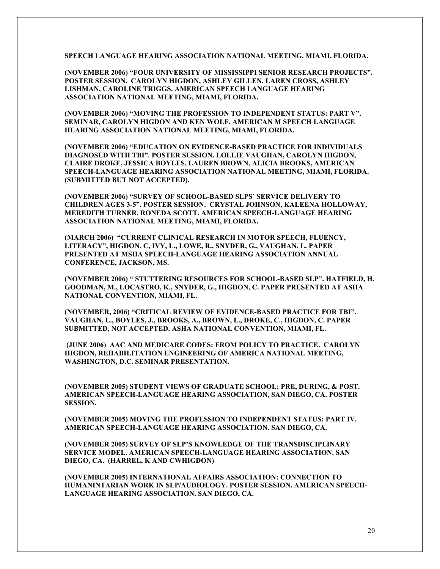**SPEECH LANGUAGE HEARING ASSOCIATION NATIONAL MEETING, MIAMI, FLORIDA.**

**(NOVEMBER 2006) "FOUR UNIVERSITY OF MISSISSIPPI SENIOR RESEARCH PROJECTS". POSTER SESSION. CAROLYN HIGDON, ASHLEY GILLEN, LAREN CROSS, ASHLEY LISHMAN, CAROLINE TRIGGS. AMERICAN SPEECH LANGUAGE HEARING ASSOCIATION NATIONAL MEETING, MIAMI, FLORIDA.**

**(NOVEMBER 2006) "MOVING THE PROFESSION TO INDEPENDENT STATUS: PART V". SEMINAR, CAROLYN HIGDON AND KEN WOLF. AMERICAN M SPEECH LANGUAGE HEARING ASSOCIATION NATIONAL MEETING, MIAMI, FLORIDA.**

**(NOVEMBER 2006) "EDUCATION ON EVIDENCE-BASED PRACTICE FOR INDIVIDUALS DIAGNOSED WITH TBI". POSTER SESSION. LOLLIE VAUGHAN, CAROLYN HIGDON, CLAIRE DROKE, JESSICA BOYLES, LAUREN BROWN, ALICIA BROOKS, AMERICAN SPEECH-LANGUAGE HEARING ASSOCIATION NATIONAL MEETING, MIAMI, FLORIDA. (SUBMITTED BUT NOT ACCEPTED).** 

**(NOVEMBER 2006) "SURVEY OF SCHOOL-BASED SLPS' SERVICE DELIVERY TO CHILDREN AGES 3-5". POSTER SESSION. CRYSTAL JOHNSON, KALEENA HOLLOWAY, MEREDITH TURNER, RONEDA SCOTT. AMERICAN SPEECH-LANGUAGE HEARING ASSOCIATION NATIONAL MEETING, MIAMI, FLORIDA.** 

**(MARCH 2006) "CURRENT CLINICAL RESEARCH IN MOTOR SPEECH, FLUENCY, LITERACY", HIGDON, C, IVY, L., LOWE, R., SNYDER, G., VAUGHAN, L. PAPER PRESENTED AT MSHA SPEECH-LANGUAGE HEARING ASSOCIATION ANNUAL CONFERENCE, JACKSON, MS.**

**(NOVEMBER 2006) " STUTTERING RESOURCES FOR SCHOOL-BASED SLP". HATFIELD, H. GOODMAN, M., LOCASTRO, K., SNYDER, G., HIGDON, C. PAPER PRESENTED AT ASHA NATIONAL CONVENTION, MIAMI, FL.**

**(NOVEMBER, 2006) "CRITICAL REVIEW OF EVIDENCE-BASED PRACTICE FOR TBI". VAUGHAN, L., BOYLES, J., BROOKS, A., BROWN, L., DROKE, C., HIGDON, C. PAPER SUBMITTED, NOT ACCEPTED. ASHA NATIONAL CONVENTION, MIAMI, FL.** 

**(JUNE 2006) AAC AND MEDICARE CODES: FROM POLICY TO PRACTICE. CAROLYN HIGDON, REHABILITATION ENGINEERING OF AMERICA NATIONAL MEETING, WASHINGTON, D.C. SEMINAR PRESENTATION.**

**(NOVEMBER 2005) STUDENT VIEWS OF GRADUATE SCHOOL: PRE, DURING, & POST. AMERICAN SPEECH-LANGUAGE HEARING ASSOCIATION, SAN DIEGO, CA. POSTER SESSION.**

**(NOVEMBER 2005) MOVING THE PROFESSION TO INDEPENDENT STATUS: PART IV. AMERICAN SPEECH-LANGUAGE HEARING ASSOCIATION. SAN DIEGO, CA.**

**(NOVEMBER 2005) SURVEY OF SLP'S KNOWLEDGE OF THE TRANSDISCIPLINARY SERVICE MODEL. AMERICAN SPEECH-LANGUAGE HEARING ASSOCIATION. SAN DIEGO, CA. (HARREL, K AND CWHIGDON)**

**(NOVEMBER 2005) INTERNATIONAL AFFAIRS ASSOCIATION: CONNECTION TO HUMANINTARIAN WORK IN SLP/AUDIOLOGY. POSTER SESSION. AMERICAN SPEECH-LANGUAGE HEARING ASSOCIATION. SAN DIEGO, CA.**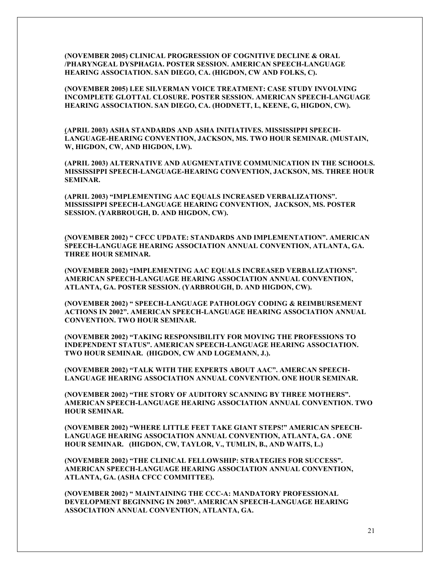**(NOVEMBER 2005) CLINICAL PROGRESSION OF COGNITIVE DECLINE & ORAL /PHARYNGEAL DYSPHAGIA. POSTER SESSION. AMERICAN SPEECH-LANGUAGE HEARING ASSOCIATION. SAN DIEGO, CA. (HIGDON, CW AND FOLKS, C).**

**(NOVEMBER 2005) LEE SILVERMAN VOICE TREATMENT: CASE STUDY INVOLVING INCOMPLETE GLOTTAL CLOSURE. POSTER SESSION. AMERICAN SPEECH-LANGUAGE HEARING ASSOCIATION. SAN DIEGO, CA. (HODNETT, L, KEENE, G, HIGDON, CW).**

**(APRIL 2003) ASHA STANDARDS AND ASHA INITIATIVES. MISSISSIPPI SPEECH-LANGUAGE-HEARING CONVENTION, JACKSON, MS. TWO HOUR SEMINAR. (MUSTAIN, W, HIGDON, CW, AND HIGDON, LW).**

**(APRIL 2003) ALTERNATIVE AND AUGMENTATIVE COMMUNICATION IN THE SCHOOLS. MISSISSIPPI SPEECH-LANGUAGE-HEARING CONVENTION, JACKSON, MS. THREE HOUR SEMINAR.**

**(APRIL 2003) "IMPLEMENTING AAC EQUALS INCREASED VERBALIZATIONS". MISSISSIPPI SPEECH-LANGUAGE HEARING CONVENTION, JACKSON, MS. POSTER SESSION. (YARBROUGH, D. AND HIGDON, CW).** 

**(NOVEMBER 2002) " CFCC UPDATE: STANDARDS AND IMPLEMENTATION". AMERICAN SPEECH-LANGUAGE HEARING ASSOCIATION ANNUAL CONVENTION, ATLANTA, GA. THREE HOUR SEMINAR.** 

**(NOVEMBER 2002) "IMPLEMENTING AAC EQUALS INCREASED VERBALIZATIONS". AMERICAN SPEECH-LANGUAGE HEARING ASSOCIATION ANNUAL CONVENTION, ATLANTA, GA. POSTER SESSION. (YARBROUGH, D. AND HIGDON, CW).** 

**(NOVEMBER 2002) " SPEECH-LANGUAGE PATHOLOGY CODING & REIMBURSEMENT ACTIONS IN 2002". AMERICAN SPEECH-LANGUAGE HEARING ASSOCIATION ANNUAL CONVENTION. TWO HOUR SEMINAR.**

**(NOVEMBER 2002) "TAKING RESPONSIBILITY FOR MOVING THE PROFESSIONS TO INDEPENDENT STATUS". AMERICAN SPEECH-LANGUAGE HEARING ASSOCIATION. TWO HOUR SEMINAR. (HIGDON, CW AND LOGEMANN, J.).**

**(NOVEMBER 2002) "TALK WITH THE EXPERTS ABOUT AAC". AMERCAN SPEECH-LANGUAGE HEARING ASSOCIATION ANNUAL CONVENTION. ONE HOUR SEMINAR.** 

**(NOVEMBER 2002) "THE STORY OF AUDITORY SCANNING BY THREE MOTHERS". AMERICAN SPEECH-LANGUAGE HEARING ASSOCIATION ANNUAL CONVENTION. TWO HOUR SEMINAR.**

**(NOVEMBER 2002) "WHERE LITTLE FEET TAKE GIANT STEPS!" AMERICAN SPEECH-LANGUAGE HEARING ASSOCIATION ANNUAL CONVENTION, ATLANTA, GA . ONE HOUR SEMINAR. (HIGDON, CW, TAYLOR, V., TUMLIN, B., AND WAITS, L.)**

**(NOVEMBER 2002) "THE CLINICAL FELLOWSHIP: STRATEGIES FOR SUCCESS". AMERICAN SPEECH-LANGUAGE HEARING ASSOCIATION ANNUAL CONVENTION, ATLANTA, GA. (ASHA CFCC COMMITTEE).** 

**(NOVEMBER 2002) " MAINTAINING THE CCC-A: MANDATORY PROFESSIONAL DEVELOPMENT BEGINNING IN 2003". AMERICAN SPEECH-LANGUAGE HEARING ASSOCIATION ANNUAL CONVENTION, ATLANTA, GA.**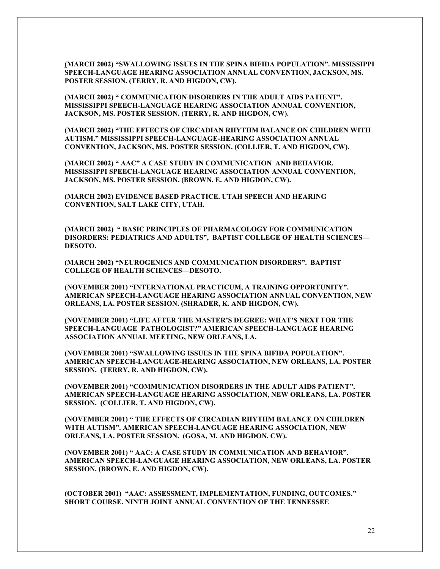**(MARCH 2002) "SWALLOWING ISSUES IN THE SPINA BIFIDA POPULATION". MISSISSIPPI SPEECH-LANGUAGE HEARING ASSOCIATION ANNUAL CONVENTION, JACKSON, MS. POSTER SESSION. (TERRY, R. AND HIGDON, CW).**

**(MARCH 2002) " COMMUNICATION DISORDERS IN THE ADULT AIDS PATIENT". MISSISSIPPI SPEECH-LANGUAGE HEARING ASSOCIATION ANNUAL CONVENTION, JACKSON, MS. POSTER SESSION. (TERRY, R. AND HIGDON, CW).** 

**(MARCH 2002) "THE EFFECTS OF CIRCADIAN RHYTHM BALANCE ON CHILDREN WITH AUTISM." MISSISSIPPI SPEECH-LANGUAGE-HEARING ASSOCIATION ANNUAL CONVENTION, JACKSON, MS. POSTER SESSION. (COLLIER, T. AND HIGDON, CW).** 

**(MARCH 2002) " AAC" A CASE STUDY IN COMMUNICATION AND BEHAVIOR. MISSISSIPPI SPEECH-LANGUAGE HEARING ASSOCIATION ANNUAL CONVENTION, JACKSON, MS. POSTER SESSION. (BROWN, E. AND HIGDON, CW).** 

**(MARCH 2002) EVIDENCE BASED PRACTICE. UTAH SPEECH AND HEARING CONVENTION, SALT LAKE CITY, UTAH.**

**(MARCH 2002) " BASIC PRINCIPLES OF PHARMACOLOGY FOR COMMUNICATION DISORDERS: PEDIATRICS AND ADULTS", BAPTIST COLLEGE OF HEALTH SCIENCES— DESOTO.**

**(MARCH 2002) "NEUROGENICS AND COMMUNICATION DISORDERS". BAPTIST COLLEGE OF HEALTH SCIENCES—DESOTO.**

**(NOVEMBER 2001) "INTERNATIONAL PRACTICUM, A TRAINING OPPORTUNITY". AMERICAN SPEECH-LANGUAGE HEARING ASSOCIATION ANNUAL CONVENTION, NEW ORLEANS, LA. POSTER SESSION. (SHRADER, K. AND HIGDON, CW).** 

**(NOVEMBER 2001) "LIFE AFTER THE MASTER'S DEGREE: WHAT'S NEXT FOR THE SPEECH-LANGUAGE PATHOLOGIST?" AMERICAN SPEECH-LANGUAGE HEARING ASSOCIATION ANNUAL MEETING, NEW ORLEANS, LA.**

**(NOVEMBER 2001) "SWALLOWING ISSUES IN THE SPINA BIFIDA POPULATION". AMERICAN SPEECH-LANGUAGE-HEARING ASSOCIATION, NEW ORLEANS, LA. POSTER SESSION. (TERRY, R. AND HIGDON, CW).** 

**(NOVEMBER 2001) "COMMUNICATION DISORDERS IN THE ADULT AIDS PATIENT". AMERICAN SPEECH-LANGUAGE HEARING ASSOCIATION, NEW ORLEANS, LA. POSTER SESSION. (COLLIER, T. AND HIGDON, CW).**

**(NOVEMBER 2001) " THE EFFECTS OF CIRCADIAN RHYTHM BALANCE ON CHILDREN WITH AUTISM". AMERICAN SPEECH-LANGUAGE HEARING ASSOCIATION, NEW ORLEANS, LA. POSTER SESSION. (GOSA, M. AND HIGDON, CW).**

**(NOVEMBER 2001) " AAC: A CASE STUDY IN COMMUNICATION AND BEHAVIOR". AMERICAN SPEECH-LANGUAGE HEARING ASSOCIATION, NEW ORLEANS, LA. POSTER SESSION. (BROWN, E. AND HIGDON, CW).**

**(OCTOBER 2001) "AAC: ASSESSMENT, IMPLEMENTATION, FUNDING, OUTCOMES." SHORT COURSE. NINTH JOINT ANNUAL CONVENTION OF THE TENNESSEE**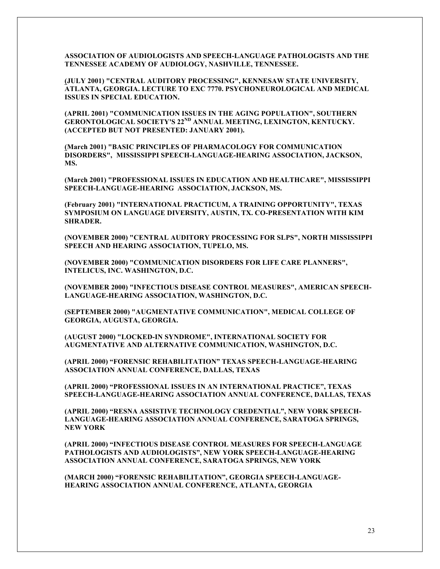**ASSOCIATION OF AUDIOLOGISTS AND SPEECH-LANGUAGE PATHOLOGISTS AND THE TENNESSEE ACADEMY OF AUDIOLOGY, NASHVILLE, TENNESSEE.**

**(JULY 2001) "CENTRAL AUDITORY PROCESSING", KENNESAW STATE UNIVERSITY, ATLANTA, GEORGIA. LECTURE TO EXC 7770. PSYCHONEUROLOGICAL AND MEDICAL ISSUES IN SPECIAL EDUCATION.** 

**(APRIL 2001) "COMMUNICATION ISSUES IN THE AGING POPULATION", SOUTHERN GERONTOLOGICAL SOCIETY'S 22ND ANNUAL MEETING, LEXINGTON, KENTUCKY. (ACCEPTED BUT NOT PRESENTED: JANUARY 2001).**

**(March 2001) "BASIC PRINCIPLES OF PHARMACOLOGY FOR COMMUNICATION DISORDERS", MISSISSIPPI SPEECH-LANGUAGE-HEARING ASSOCIATION, JACKSON, MS.**

**(March 2001) "PROFESSIONAL ISSUES IN EDUCATION AND HEALTHCARE", MISSISSIPPI SPEECH-LANGUAGE-HEARING ASSOCIATION, JACKSON, MS.**

**(February 2001) "INTERNATIONAL PRACTICUM, A TRAINING OPPORTUNITY", TEXAS SYMPOSIUM ON LANGUAGE DIVERSITY, AUSTIN, TX. CO-PRESENTATION WITH KIM SHRADER.**

**(NOVEMBER 2000) "CENTRAL AUDITORY PROCESSING FOR SLPS", NORTH MISSISSIPPI SPEECH AND HEARING ASSOCIATION, TUPELO, MS.**

**(NOVEMBER 2000) "COMMUNICATION DISORDERS FOR LIFE CARE PLANNERS", INTELICUS, INC. WASHINGTON, D.C.**

**(NOVEMBER 2000) "INFECTIOUS DISEASE CONTROL MEASURES", AMERICAN SPEECH-LANGUAGE-HEARING ASSOCIATION, WASHINGTON, D.C.**

**(SEPTEMBER 2000) "AUGMENTATIVE COMMUNICATION", MEDICAL COLLEGE OF GEORGIA, AUGUSTA, GEORGIA.**

**(AUGUST 2000) "LOCKED-IN SYNDROME", INTERNATIONAL SOCIETY FOR AUGMENTATIVE AND ALTERNATIVE COMMUNICATION, WASHINGTON, D.C.**

**(APRIL 2000) "FORENSIC REHABILITATION" TEXAS SPEECH-LANGUAGE-HEARING ASSOCIATION ANNUAL CONFERENCE, DALLAS, TEXAS**

**(APRIL 2000) "PROFESSIONAL ISSUES IN AN INTERNATIONAL PRACTICE", TEXAS SPEECH-LANGUAGE-HEARING ASSOCIATION ANNUAL CONFERENCE, DALLAS, TEXAS**

**(APRIL 2000) "RESNA ASSISTIVE TECHNOLOGY CREDENTIAL", NEW YORK SPEECH-LANGUAGE-HEARING ASSOCIATION ANNUAL CONFERENCE, SARATOGA SPRINGS, NEW YORK**

**(APRIL 2000) "INFECTIOUS DISEASE CONTROL MEASURES FOR SPEECH-LANGUAGE PATHOLOGISTS AND AUDIOLOGISTS", NEW YORK SPEECH-LANGUAGE-HEARING ASSOCIATION ANNUAL CONFERENCE, SARATOGA SPRINGS, NEW YORK**

**(MARCH 2000) "FORENSIC REHABILITATION", GEORGIA SPEECH-LANGUAGE-HEARING ASSOCIATION ANNUAL CONFERENCE, ATLANTA, GEORGIA**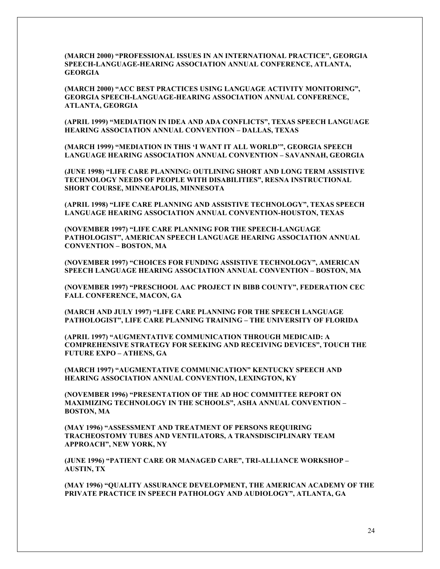**(MARCH 2000) "PROFESSIONAL ISSUES IN AN INTERNATIONAL PRACTICE", GEORGIA SPEECH-LANGUAGE-HEARING ASSOCIATION ANNUAL CONFERENCE, ATLANTA, GEORGIA**

**(MARCH 2000) "ACC BEST PRACTICES USING LANGUAGE ACTIVITY MONITORING", GEORGIA SPEECH-LANGUAGE-HEARING ASSOCIATION ANNUAL CONFERENCE, ATLANTA, GEORGIA**

**(APRIL 1999) "MEDIATION IN IDEA AND ADA CONFLICTS", TEXAS SPEECH LANGUAGE HEARING ASSOCIATION ANNUAL CONVENTION – DALLAS, TEXAS**

**(MARCH 1999) "MEDIATION IN THIS 'I WANT IT ALL WORLD'", GEORGIA SPEECH LANGUAGE HEARING ASSOCIATION ANNUAL CONVENTION – SAVANNAH, GEORGIA**

**(JUNE 1998) "LIFE CARE PLANNING: OUTLINING SHORT AND LONG TERM ASSISTIVE TECHNOLOGY NEEDS OF PEOPLE WITH DISABILITIES", RESNA INSTRUCTIONAL SHORT COURSE, MINNEAPOLIS, MINNESOTA**

**(APRIL 1998) "LIFE CARE PLANNING AND ASSISTIVE TECHNOLOGY", TEXAS SPEECH LANGUAGE HEARING ASSOCIATION ANNUAL CONVENTION-HOUSTON, TEXAS**

**(NOVEMBER 1997) "LIFE CARE PLANNING FOR THE SPEECH-LANGUAGE PATHOLOGIST", AMERICAN SPEECH LANGUAGE HEARING ASSOCIATION ANNUAL CONVENTION – BOSTON, MA**

**(NOVEMBER 1997) "CHOICES FOR FUNDING ASSISTIVE TECHNOLOGY", AMERICAN SPEECH LANGUAGE HEARING ASSOCIATION ANNUAL CONVENTION – BOSTON, MA**

**(NOVEMBER 1997) "PRESCHOOL AAC PROJECT IN BIBB COUNTY", FEDERATION CEC FALL CONFERENCE, MACON, GA**

**(MARCH AND JULY 1997) "LIFE CARE PLANNING FOR THE SPEECH LANGUAGE PATHOLOGIST", LIFE CARE PLANNING TRAINING – THE UNIVERSITY OF FLORIDA**

**(APRIL 1997) "AUGMENTATIVE COMMUNICATION THROUGH MEDICAID: A COMPREHENSIVE STRATEGY FOR SEEKING AND RECEIVING DEVICES", TOUCH THE FUTURE EXPO – ATHENS, GA**

**(MARCH 1997) "AUGMENTATIVE COMMUNICATION" KENTUCKY SPEECH AND HEARING ASSOCIATION ANNUAL CONVENTION, LEXINGTON, KY**

**(NOVEMBER 1996) "PRESENTATION OF THE AD HOC COMMITTEE REPORT ON MAXIMIZING TECHNOLOGY IN THE SCHOOLS", ASHA ANNUAL CONVENTION – BOSTON, MA**

**(MAY 1996) "ASSESSMENT AND TREATMENT OF PERSONS REQUIRING TRACHEOSTOMY TUBES AND VENTILATORS, A TRANSDISCIPLINARY TEAM APPROACH", NEW YORK, NY**

**(JUNE 1996) "PATIENT CARE OR MANAGED CARE", TRI-ALLIANCE WORKSHOP – AUSTIN, TX**

**(MAY 1996) "QUALITY ASSURANCE DEVELOPMENT, THE AMERICAN ACADEMY OF THE PRIVATE PRACTICE IN SPEECH PATHOLOGY AND AUDIOLOGY", ATLANTA, GA**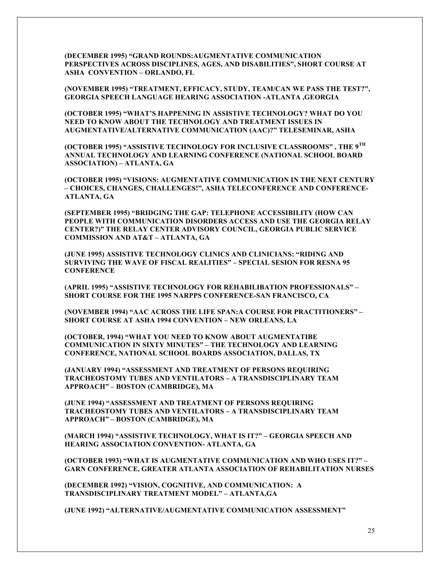**(DECEMBER 1995) "GRAND ROUNDS:AUGMENTATIVE COMMUNICATION PERSPECTIVES ACROSS DISCIPLINES, AGES, AND DISABILITIES", SHORT COURSE AT ASHA CONVENTION – ORLANDO, FL**

**(NOVEMBER 1995) "TREATMENT, EFFICACY, STUDY, TEAM/CAN WE PASS THE TEST?", GEORGIA SPEECH LANGUAGE HEARING ASSOCIATION -ATLANTA ,GEORGIA**

**(OCTOBER 1995) "WHAT'S HAPPENING IN ASSISTIVE TECHNOLOGY? WHAT DO YOU NEED TO KNOW ABOUT THE TECHNOLOGY AND TREATMENT ISSUES IN AUGMENTATIVE/ALTERNATIVE COMMUNICATION (AAC)?" TELESEMINAR, ASHA**

**(OCTOBER 1995) "ASSISTIVE TECHNOLOGY FOR INCLUSIVE CLASSROOMS" , THE 9TH ANNUAL TECHNOLOGY AND LEARNING CONFERENCE (NATIONAL SCHOOL BOARD ASSOCIATION) – ATLANTA, GA**

**(OCTOBER 1995) "VISIONS: AUGMENTATIVE COMMUNICATION IN THE NEXT CENTURY – CHOICES, CHANGES, CHALLENGES!", ASHA TELECONFERENCE AND CONFERENCE-ATLANTA, GA**

**(SEPTEMBER 1995) "BRIDGING THE GAP: TELEPHONE ACCESSIBILITY (HOW CAN PEOPLE WITH COMMUNICATION DISORDERS ACCESS AND USE THE GEORGIA RELAY CENTER?)" THE RELAY CENTER ADVISORY COUNCIL, GEORGIA PUBLIC SERVICE COMMISSION AND AT&T – ATLANTA, GA**

**(JUNE 1995) ASSISTIVE TECHNOLOGY CLINICS AND CLINICIANS: "RIDING AND SURVIVING THE WAVE OF FISCAL REALITIES" – SPECIAL SESION FOR RESNA 95 CONFERENCE**

**(APRIL 1995) "ASSISTIVE TECHNOLOGY FOR REHABILIBATION PROFESSIONALS" – SHORT COURSE FOR THE 1995 NARPPS CONFERENCE-SAN FRANCISCO, CA**

**(NOVEMBER 1994) "AAC ACROSS THE LIFE SPAN:A COURSE FOR PRACTITIONERS" – SHORT COURSE AT ASHA 1994 CONVENTION – NEW ORLEANS, LA**

**(OCTOBER, 1994) "WHAT YOU NEED TO KNOW ABOUT AUGMENTATIBE COMMUNICATION IN SIXTY MINUTES" – THE TECHNOLOGY AND LEARNING CONFERENCE, NATIONAL SCHOOL BOARDS ASSOCIATION, DALLAS, TX**

**(JANUARY 1994) "ASSESSMENT AND TREATMENT OF PERSONS REQUIRING TRACHEOSTOMY TUBES AND VENTILATORS – A TRANSDISCIPLINARY TEAM APPROACH" – BOSTON (CAMBRIDGE), MA**

**(JUNE 1994) "ASSESSMENT AND TREATMENT OF PERSONS REQUIRING TRACHEOSTOMY TUBES AND VENTILATORS – A TRANSDISCIPLINARY TEAM APPROACH" – BOSTON (CAMBRIDGE), MA**

**(MARCH 1994) "ASSISTIVE TECHNOLOGY, WHAT IS IT?" – GEORGIA SPEECH AND HEARING ASSOCIATION CONVENTION- ATLANTA, GA**

**(OCTOBER 1993) "WHAT IS AUGMENTATIVE COMMUNICATION AND WHO USES IT?" – GARN CONFERENCE, GREATER ATLANTA ASSOCIATION OF REHABILITATION NURSES**

**(DECEMBER 1992) "VISION, COGNITIVE, AND COMMUNICATION: A TRANSDISCIPLINARY TREATMENT MODEL" – ATLANTA,GA**

**(JUNE 1992) "ALTERNATIVE/AUGMENTATIVE COMMUNICATION ASSESSMENT"**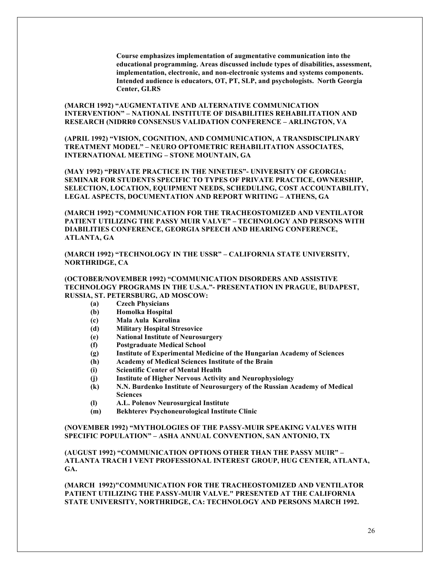**Course emphasizes implementation of augmentative communication into the educational programming. Areas discussed include types of disabilities, assessment, implementation, electronic, and non-electronic systems and systems components. Intended audience is educators, OT, PT, SLP, and psychologists. North Georgia Center, GLRS**

**(MARCH 1992) "AUGMENTATIVE AND ALTERNATIVE COMMUNICATION INTERVENTION" – NATIONAL INSTITUTE OF DISABILITIES REHABILITATION AND RESEARCH (NIDRR0 CONSENSUS VALIDATION CONFERENCE – ARLINGTON, VA**

**(APRIL 1992) "VISION, COGNITION, AND COMMUNICATION, A TRANSDISCIPLINARY TREATMENT MODEL" – NEURO OPTOMETRIC REHABILITATION ASSOCIATES, INTERNATIONAL MEETING – STONE MOUNTAIN, GA**

**(MAY 1992) "PRIVATE PRACTICE IN THE NINETIES"- UNIVERSITY OF GEORGIA: SEMINAR FOR STUDENTS SPECIFIC TO TYPES OF PRIVATE PRACTICE, OWNERSHIP, SELECTION, LOCATION, EQUIPMENT NEEDS, SCHEDULING, COST ACCOUNTABILITY, LEGAL ASPECTS, DOCUMENTATION AND REPORT WRITING – ATHENS, GA**

**(MARCH 1992) "COMMUNICATION FOR THE TRACHEOSTOMIZED AND VENTILATOR PATIENT UTILIZING THE PASSY MUIR VALVE" – TECHNOLOGY AND PERSONS WITH DIABILITIES CONFERENCE, GEORGIA SPEECH AND HEARING CONFERENCE, ATLANTA, GA**

**(MARCH 1992) "TECHNOLOGY IN THE USSR" – CALIFORNIA STATE UNIVERSITY, NORTHRIDGE, CA**

#### **(OCTOBER/NOVEMBER 1992) "COMMUNICATION DISORDERS AND ASSISTIVE TECHNOLOGY PROGRAMS IN THE U.S.A."- PRESENTATION IN PRAGUE, BUDAPEST, RUSSIA, ST. PETERSBURG, AD MOSCOW:**

- **(a) Czech Physicians**
- **(b) Homolka Hospital**
- **(c) Mala Aula Karolina**
- **(d) Military Hospital Stresovice**
- **(e) National Institute of Neurosurgery**
- **(f) Postgraduate Medical School**
- **(g) Institute of Experimental Medicine of the Hungarian Academy of Sciences**
- **(h) Academy of Medical Sciences Institute of the Brain**
- **(i) Scientific Center of Mental Health**
- **(j) Institute of Higher Nervous Activity and Neurophysiology**
- **(k) N.N. Burdenko Institute of Neurosurgery of the Russian Academy of Medical Sciences**
- **(l) A.L. Polenov Neurosurgical Institute**
- **(m) Bekhterev Psychoneurological Institute Clinic**

**(NOVEMBER 1992) "MYTHOLOGIES OF THE PASSY-MUIR SPEAKING VALVES WITH SPECIFIC POPULATION" – ASHA ANNUAL CONVENTION, SAN ANTONIO, TX**

**(AUGUST 1992) "COMMUNICATION OPTIONS OTHER THAN THE PASSY MUIR" – ATLANTA TRACH I VENT PROFESSIONAL INTEREST GROUP, HUG CENTER, ATLANTA, GA.**

**(MARCH 1992)"COMMUNICATION FOR THE TRACHEOSTOMIZED AND VENTILATOR PATIENT UTILIZING THE PASSY-MUIR VALVE." PRESENTED AT THE CALIFORNIA STATE UNIVERSITY, NORTHRIDGE, CA: TECHNOLOGY AND PERSONS MARCH 1992.**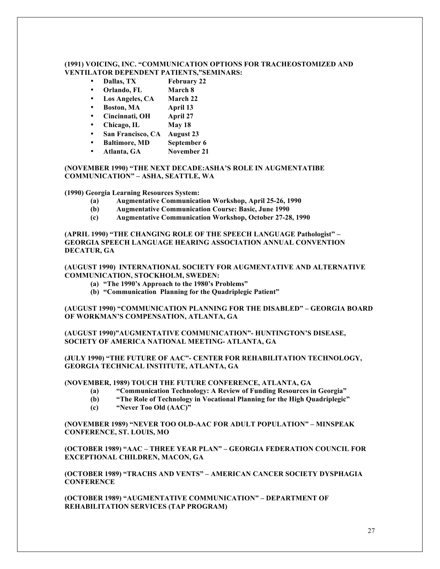#### **(1991) VOICING, INC. "COMMUNICATION OPTIONS FOR TRACHEOSTOMIZED AND VENTILATOR DEPENDENT PATIENTS,"SEMINARS:**

- **Dallas, TX February 22**
- **Orlando, FL March 8**
- **Los Angeles, CA March 22**
- **Boston, MA April 13**
- **Cincinnati, OH April 27**
- **Chicago, IL May 18**
- **San Francisco, CA August 23**
- **Baltimore, MD September 6**
- **Atlanta, GA November 21**

**(NOVEMBER 1990) "THE NEXT DECADE:ASHA'S ROLE IN AUGMENTATIBE COMMUNICATION" – ASHA, SEATTLE, WA**

**(1990) Georgia Learning Resources System:**

- **(a) Augmentative Communication Workshop, April 25-26, 1990**
- **(b) Augmentative Communication Course: Basic, June 1990**
- **(c) Augmentative Communication Workshop, October 27-28, 1990**

**(APRIL 1990) "THE CHANGING ROLE OF THE SPEECH LANGUAGE Pathologist" – GEORGIA SPEECH LANGUAGE HEARING ASSOCIATION ANNUAL CONVENTION DECATUR, GA**

**(AUGUST 1990) INTERNATIONAL SOCIETY FOR AUGMENTATIVE AND ALTERNATIVE COMMUNICATION, STOCKHOLM, SWEDEN:**

- **(a) "The 1990's Approach to the 1980's Problems"**
- **(b) "Communication Planning for the Quadriplegic Patient"**

**(AUGUST 1990) "COMMUNICATION PLANNING FOR THE DISABLED" – GEORGIA BOARD OF WORKMAN'S COMPENSATION, ATLANTA, GA**

**(AUGUST 1990)"AUGMENTATIVE COMMUNICATION"- HUNTINGTON'S DISEASE, SOCIETY OF AMERICA NATIONAL MEETING- ATLANTA, GA**

**(JULY 1990) "THE FUTURE OF AAC"- CENTER FOR REHABILITATION TECHNOLOGY, GEORGIA TECHNICAL INSTITUTE, ATLANTA, GA**

**(NOVEMBER, 1989) TOUCH THE FUTURE CONFERENCE, ATLANTA, GA**

- **(a) "Communication Technology: A Review of Funding Resources in Georgia"**
- **(b) "The Role of Technology in Vocational Planning for the High Quadriplegic"**
- **(c) "Never Too Old (AAC)"**

**(NOVEMBER 1989) "NEVER TOO OLD-AAC FOR ADULT POPULATION" – MINSPEAK CONFERENCE, ST. LOUIS, MO**

**(OCTOBER 1989) "AAC – THREE YEAR PLAN" – GEORGIA FEDERATION COUNCIL FOR EXCEPTIONAL CHILDREN, MACON, GA**

**(OCTOBER 1989) "TRACHS AND VENTS" – AMERICAN CANCER SOCIETY DYSPHAGIA CONFERENCE**

**(OCTOBER 1989) "AUGMENTATIVE COMMUNICATION" – DEPARTMENT OF REHABILITATION SERVICES (TAP PROGRAM)**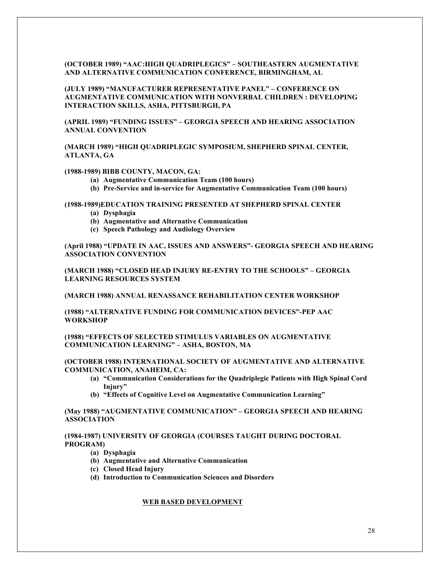#### **(OCTOBER 1989) "AAC:HIGH QUADRIPLEGICS" – SOUTHEASTERN AUGMENTATIVE AND ALTERNATIVE COMMUNICATION CONFERENCE, BIRMINGHAM, AL**

**(JULY 1989) "MANUFACTURER REPRESENTATIVE PANEL" – CONFERENCE ON AUGMENTATIVE COMMUNICATION WITH NONVERBAL CHILDREN : DEVELOPING INTERACTION SKILLS, ASHA, PITTSBURGH, PA**

**(APRIL 1989) "FUNDING ISSUES" – GEORGIA SPEECH AND HEARING ASSOCIATION ANNUAL CONVENTION**

**(MARCH 1989) "HIGH QUADRIPLEGIC SYMPOSIUM, SHEPHERD SPINAL CENTER, ATLANTA, GA**

#### **(1988-1989) BIBB COUNTY, MACON, GA:**

- **(a) Augmentative Communication Team (100 hours)**
- **(b) Pre-Service and in-service for Augmentative Communication Team (100 hours)**

#### **(1988-1989)EDUCATION TRAINING PRESENTED AT SHEPHERD SPINAL CENTER**

- **(a) Dysphagia**
- **(b) Augmentative and Alternative Communication**
- **(c) Speech Pathology and Audiology Overview**

**(April 1988) "UPDATE IN AAC, ISSUES AND ANSWERS"- GEORGIA SPEECH AND HEARING ASSOCIATION CONVENTION**

**(MARCH 1988) "CLOSED HEAD INJURY RE-ENTRY TO THE SCHOOLS" – GEORGIA LEARNING RESOURCES SYSTEM**

**(MARCH 1988) ANNUAL RENASSANCE REHABILITATION CENTER WORKSHOP**

**(1988) "ALTERNATIVE FUNDING FOR COMMUNICATION DEVICES"-PEP AAC WORKSHOP**

**(1988) "EFFECTS OF SELECTED STIMULUS VARIABLES ON AUGMENTATIVE COMMUNICATION LEARNING" – ASHA, BOSTON, MA**

#### **(OCTOBER 1988) INTERNATIONAL SOCIETY OF AUGMENTATIVE AND ALTERNATIVE COMMUNICATION, ANAHEIM, CA:**

- **(a) "Communication Considerations for the Quadriplegic Patients with High Spinal Cord Injury"**
- **(b) "Effects of Cognitive Level on Augmentative Communication Learning"**

# **(May 1988) "AUGMENTATIVE COMMUNICATION" – GEORGIA SPEECH AND HEARING ASSOCIATION**

#### **(1984-1987) UNIVERSITY OF GEORGIA (COURSES TAUGHT DURING DOCTORAL PROGRAM)**

- **(a) Dysphagia**
- **(b) Augmentative and Alternative Communication**
- **(c) Closed Head Injury**
- **(d) Introduction to Communication Sciences and Disorders**

# **WEB BASED DEVELOPMENT**